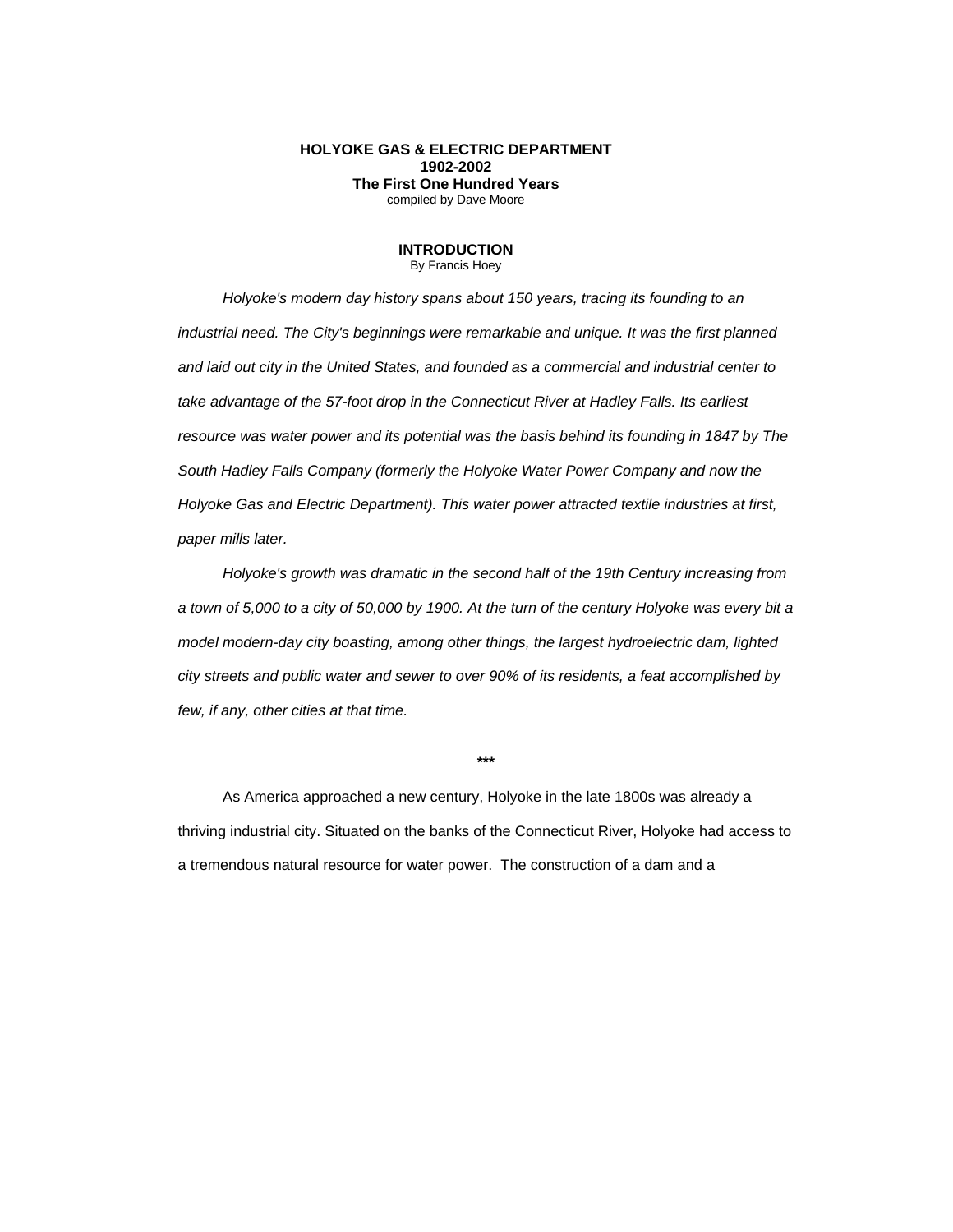## **HOLYOKE GAS & ELECTRIC DEPARTMENT 1902-2002 The First One Hundred Years** compiled by Dave Moore

## **INTRODUCTION**

By Francis Hoey

*Holyoke's modern day history spans about 150 years, tracing its founding to an industrial need. The City's beginnings were remarkable and unique. It was the first planned and laid out city in the United States, and founded as a commercial and industrial center to take advantage of the 57-foot drop in the Connecticut River at Hadley Falls. Its earliest resource was water power and its potential was the basis behind its founding in 1847 by The South Hadley Falls Company (formerly the Holyoke Water Power Company and now the Holyoke Gas and Electric Department). This water power attracted textile industries at first, paper mills later.*

*Holyoke's growth was dramatic in the second half of the 19th Century increasing from a town of 5,000 to a city of 50,000 by 1900. At the turn of the century Holyoke was every bit a model modern-day city boasting, among other things, the largest hydroelectric dam, lighted city streets and public water and sewer to over 90% of its residents, a feat accomplished by few, if any, other cities at that time.*

**\*\*\***

As America approached a new century, Holyoke in the late 1800s was already a thriving industrial city. Situated on the banks of the Connecticut River, Holyoke had access to a tremendous natural resource for water power. The construction of a dam and a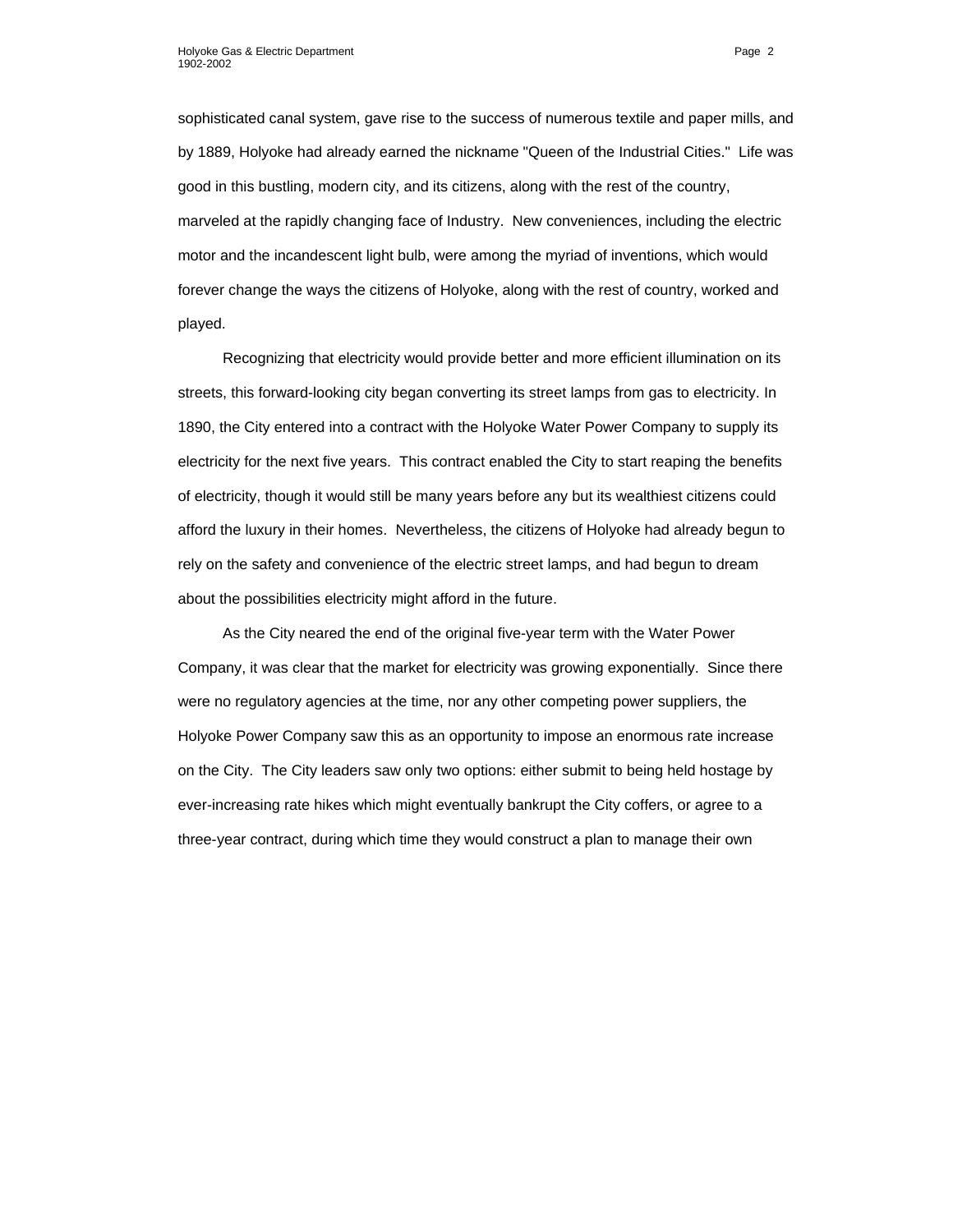sophisticated canal system, gave rise to the success of numerous textile and paper mills, and by 1889, Holyoke had already earned the nickname "Queen of the Industrial Cities." Life was good in this bustling, modern city, and its citizens, along with the rest of the country, marveled at the rapidly changing face of Industry. New conveniences, including the electric motor and the incandescent light bulb, were among the myriad of inventions, which would forever change the ways the citizens of Holyoke, along with the rest of country, worked and played.

Recognizing that electricity would provide better and more efficient illumination on its streets, this forward-looking city began converting its street lamps from gas to electricity. In 1890, the City entered into a contract with the Holyoke Water Power Company to supply its electricity for the next five years. This contract enabled the City to start reaping the benefits of electricity, though it would still be many years before any but its wealthiest citizens could afford the luxury in their homes. Nevertheless, the citizens of Holyoke had already begun to rely on the safety and convenience of the electric street lamps, and had begun to dream about the possibilities electricity might afford in the future.

As the City neared the end of the original five-year term with the Water Power Company, it was clear that the market for electricity was growing exponentially. Since there were no regulatory agencies at the time, nor any other competing power suppliers, the Holyoke Power Company saw this as an opportunity to impose an enormous rate increase on the City. The City leaders saw only two options: either submit to being held hostage by ever-increasing rate hikes which might eventually bankrupt the City coffers, or agree to a three-year contract, during which time they would construct a plan to manage their own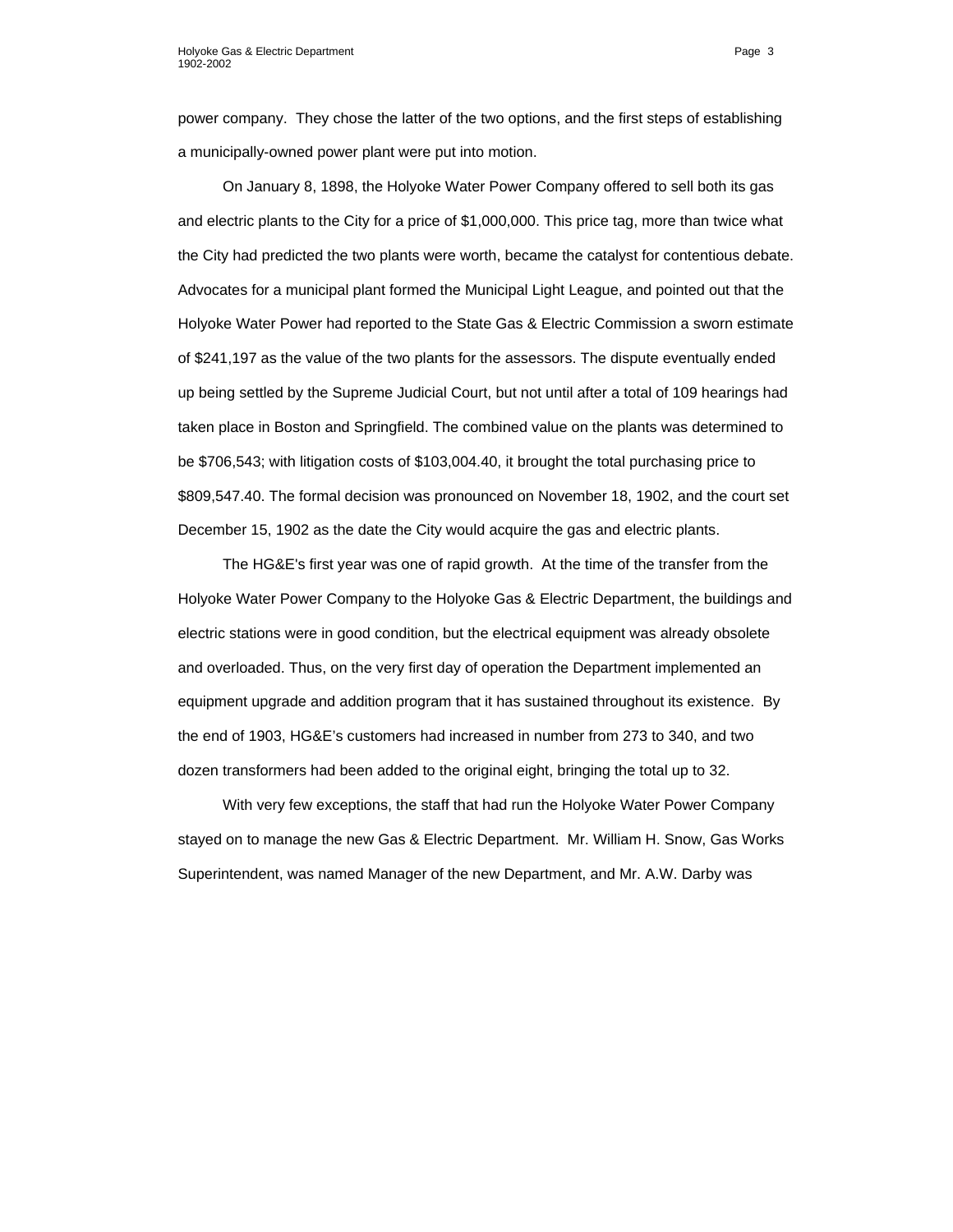power company. They chose the latter of the two options, and the first steps of establishing a municipally-owned power plant were put into motion.

On January 8, 1898, the Holyoke Water Power Company offered to sell both its gas and electric plants to the City for a price of \$1,000,000. This price tag, more than twice what the City had predicted the two plants were worth, became the catalyst for contentious debate. Advocates for a municipal plant formed the Municipal Light League, and pointed out that the Holyoke Water Power had reported to the State Gas & Electric Commission a sworn estimate of \$241,197 as the value of the two plants for the assessors. The dispute eventually ended up being settled by the Supreme Judicial Court, but not until after a total of 109 hearings had taken place in Boston and Springfield. The combined value on the plants was determined to be \$706,543; with litigation costs of \$103,004.40, it brought the total purchasing price to \$809,547.40. The formal decision was pronounced on November 18, 1902, and the court set December 15, 1902 as the date the City would acquire the gas and electric plants.

The HG&E's first year was one of rapid growth. At the time of the transfer from the Holyoke Water Power Company to the Holyoke Gas & Electric Department, the buildings and electric stations were in good condition, but the electrical equipment was already obsolete and overloaded. Thus, on the very first day of operation the Department implemented an equipment upgrade and addition program that it has sustained throughout its existence. By the end of 1903, HG&E's customers had increased in number from 273 to 340, and two dozen transformers had been added to the original eight, bringing the total up to 32.

With very few exceptions, the staff that had run the Holyoke Water Power Company stayed on to manage the new Gas & Electric Department. Mr. William H. Snow, Gas Works Superintendent, was named Manager of the new Department, and Mr. A.W. Darby was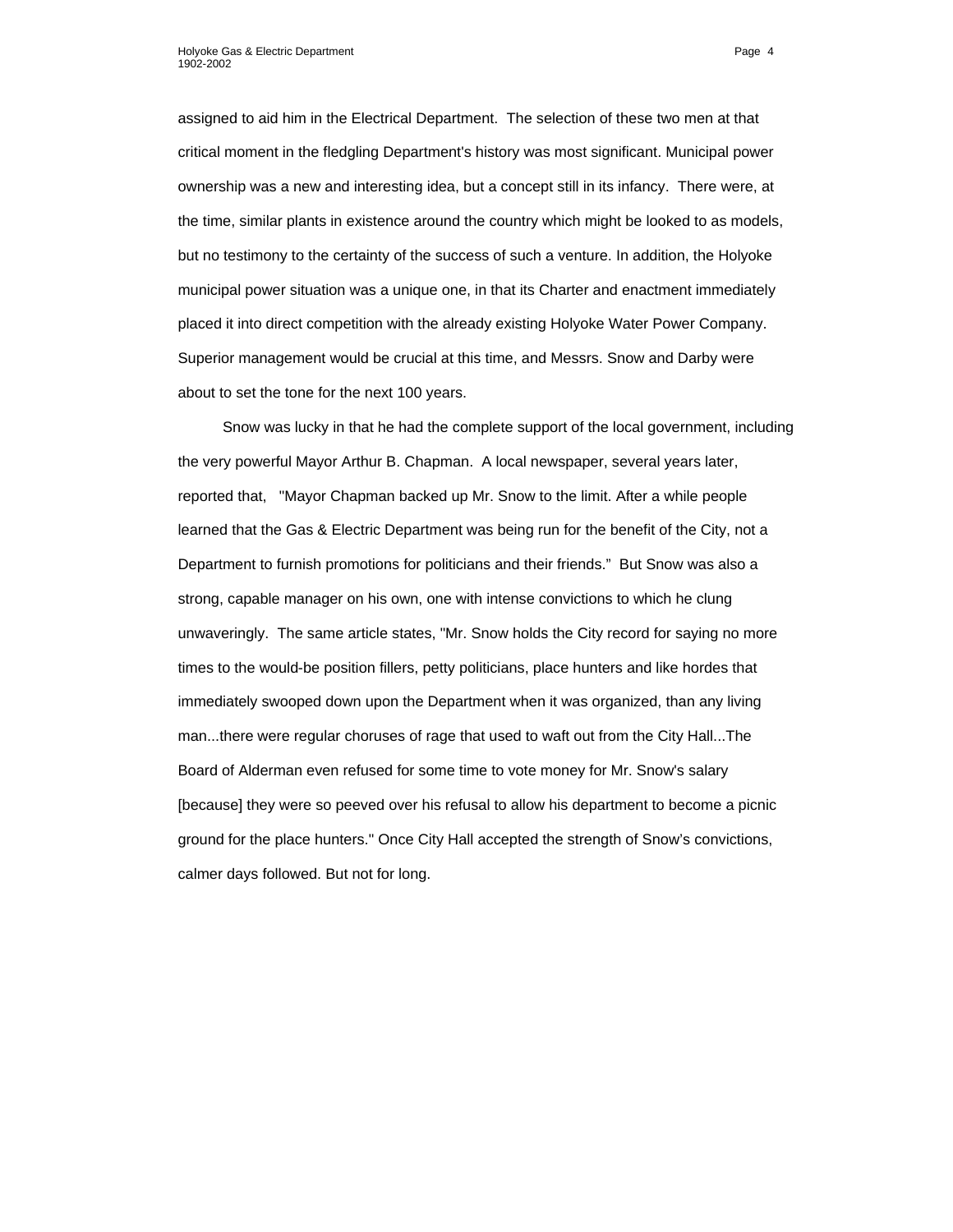assigned to aid him in the Electrical Department. The selection of these two men at that critical moment in the fledgling Department's history was most significant. Municipal power ownership was a new and interesting idea, but a concept still in its infancy. There were, at the time, similar plants in existence around the country which might be looked to as models, but no testimony to the certainty of the success of such a venture. In addition, the Holyoke municipal power situation was a unique one, in that its Charter and enactment immediately placed it into direct competition with the already existing Holyoke Water Power Company. Superior management would be crucial at this time, and Messrs. Snow and Darby were about to set the tone for the next 100 years.

Snow was lucky in that he had the complete support of the local government, including the very powerful Mayor Arthur B. Chapman. A local newspaper, several years later, reported that, "Mayor Chapman backed up Mr. Snow to the limit. After a while people learned that the Gas & Electric Department was being run for the benefit of the City, not a Department to furnish promotions for politicians and their friends." But Snow was also a strong, capable manager on his own, one with intense convictions to which he clung unwaveringly. The same article states, "Mr. Snow holds the City record for saying no more times to the would-be position fillers, petty politicians, place hunters and like hordes that immediately swooped down upon the Department when it was organized, than any living man...there were regular choruses of rage that used to waft out from the City Hall...The Board of Alderman even refused for some time to vote money for Mr. Snow's salary [because] they were so peeved over his refusal to allow his department to become a picnic ground for the place hunters." Once City Hall accepted the strength of Snow's convictions, calmer days followed. But not for long.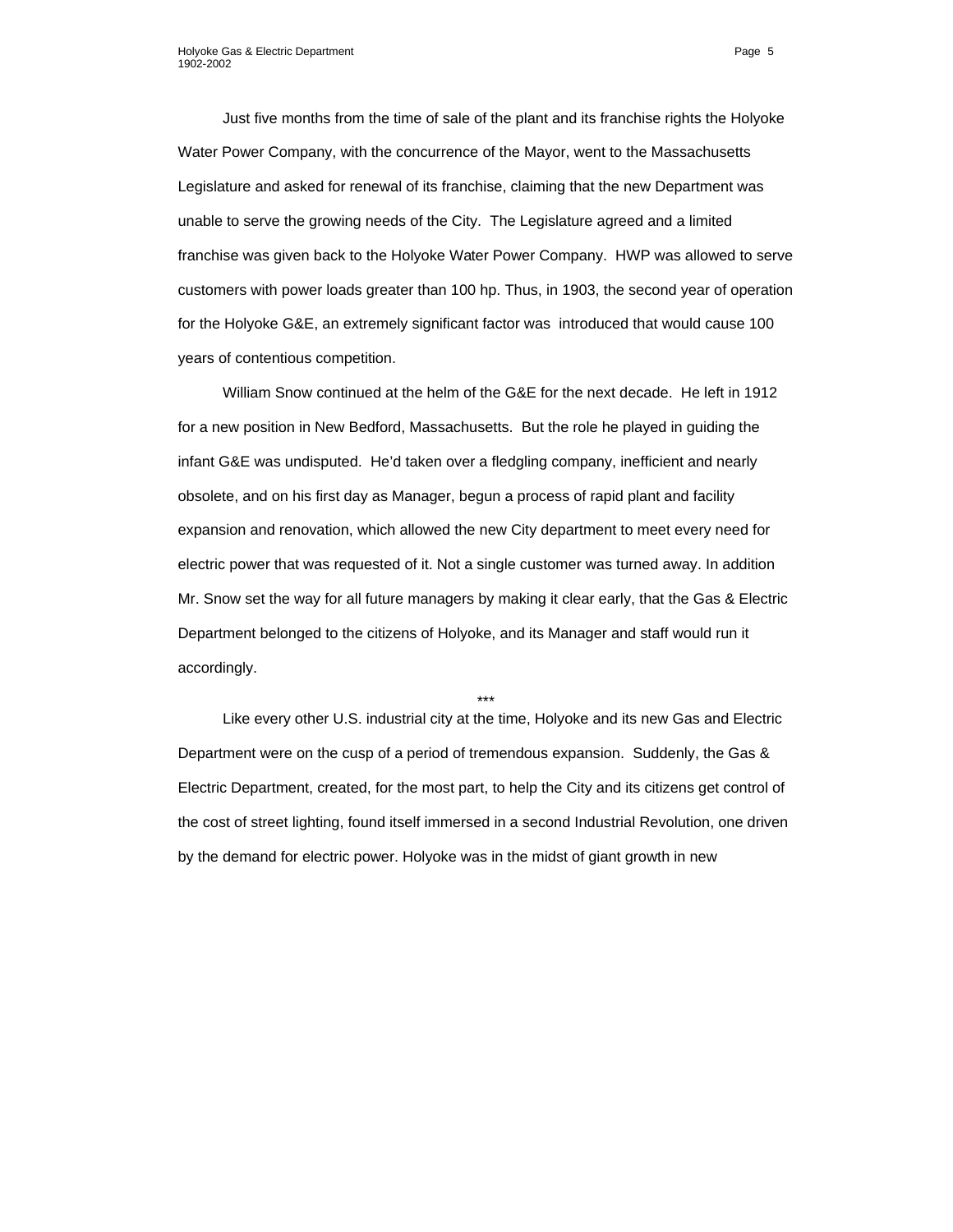Just five months from the time of sale of the plant and its franchise rights the Holyoke Water Power Company, with the concurrence of the Mayor, went to the Massachusetts Legislature and asked for renewal of its franchise, claiming that the new Department was unable to serve the growing needs of the City. The Legislature agreed and a limited franchise was given back to the Holyoke Water Power Company. HWP was allowed to serve customers with power loads greater than 100 hp. Thus, in 1903, the second year of operation for the Holyoke G&E, an extremely significant factor was introduced that would cause 100 years of contentious competition.

William Snow continued at the helm of the G&E for the next decade. He left in 1912 for a new position in New Bedford, Massachusetts. But the role he played in guiding the infant G&E was undisputed. He'd taken over a fledgling company, inefficient and nearly obsolete, and on his first day as Manager, begun a process of rapid plant and facility expansion and renovation, which allowed the new City department to meet every need for electric power that was requested of it. Not a single customer was turned away. In addition Mr. Snow set the way for all future managers by making it clear early, that the Gas & Electric Department belonged to the citizens of Holyoke, and its Manager and staff would run it accordingly.

\*\*\*

Like every other U.S. industrial city at the time, Holyoke and its new Gas and Electric Department were on the cusp of a period of tremendous expansion. Suddenly, the Gas & Electric Department, created, for the most part, to help the City and its citizens get control of the cost of street lighting, found itself immersed in a second Industrial Revolution, one driven by the demand for electric power. Holyoke was in the midst of giant growth in new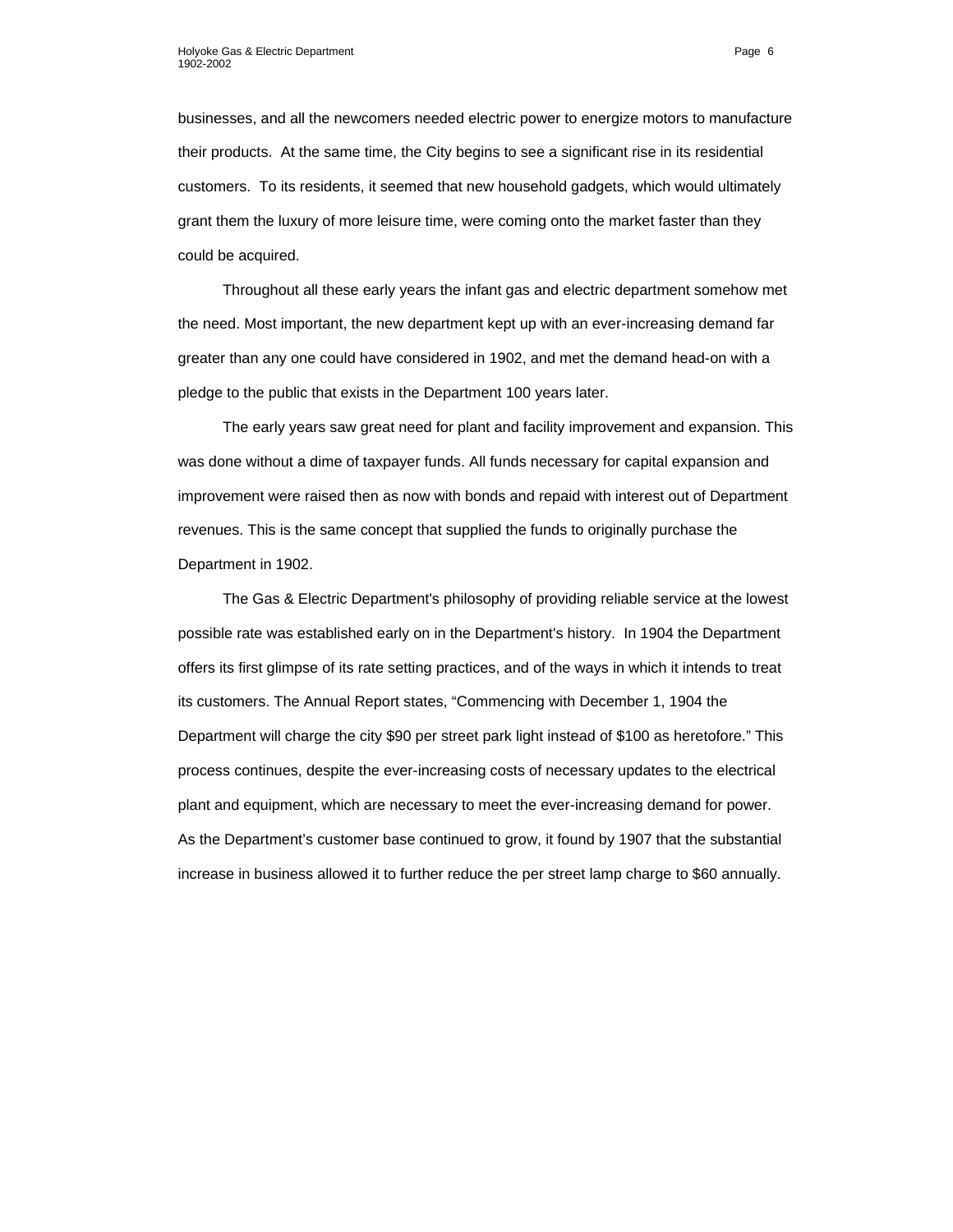businesses, and all the newcomers needed electric power to energize motors to manufacture their products. At the same time, the City begins to see a significant rise in its residential customers. To its residents, it seemed that new household gadgets, which would ultimately grant them the luxury of more leisure time, were coming onto the market faster than they could be acquired.

Throughout all these early years the infant gas and electric department somehow met the need. Most important, the new department kept up with an ever-increasing demand far greater than any one could have considered in 1902, and met the demand head-on with a pledge to the public that exists in the Department 100 years later.

The early years saw great need for plant and facility improvement and expansion. This was done without a dime of taxpayer funds. All funds necessary for capital expansion and improvement were raised then as now with bonds and repaid with interest out of Department revenues. This is the same concept that supplied the funds to originally purchase the Department in 1902.

The Gas & Electric Department's philosophy of providing reliable service at the lowest possible rate was established early on in the Department's history. In 1904 the Department offers its first glimpse of its rate setting practices, and of the ways in which it intends to treat its customers. The Annual Report states, "Commencing with December 1, 1904 the Department will charge the city \$90 per street park light instead of \$100 as heretofore." This process continues, despite the ever-increasing costs of necessary updates to the electrical plant and equipment, which are necessary to meet the ever-increasing demand for power. As the Department's customer base continued to grow, it found by 1907 that the substantial increase in business allowed it to further reduce the per street lamp charge to \$60 annually.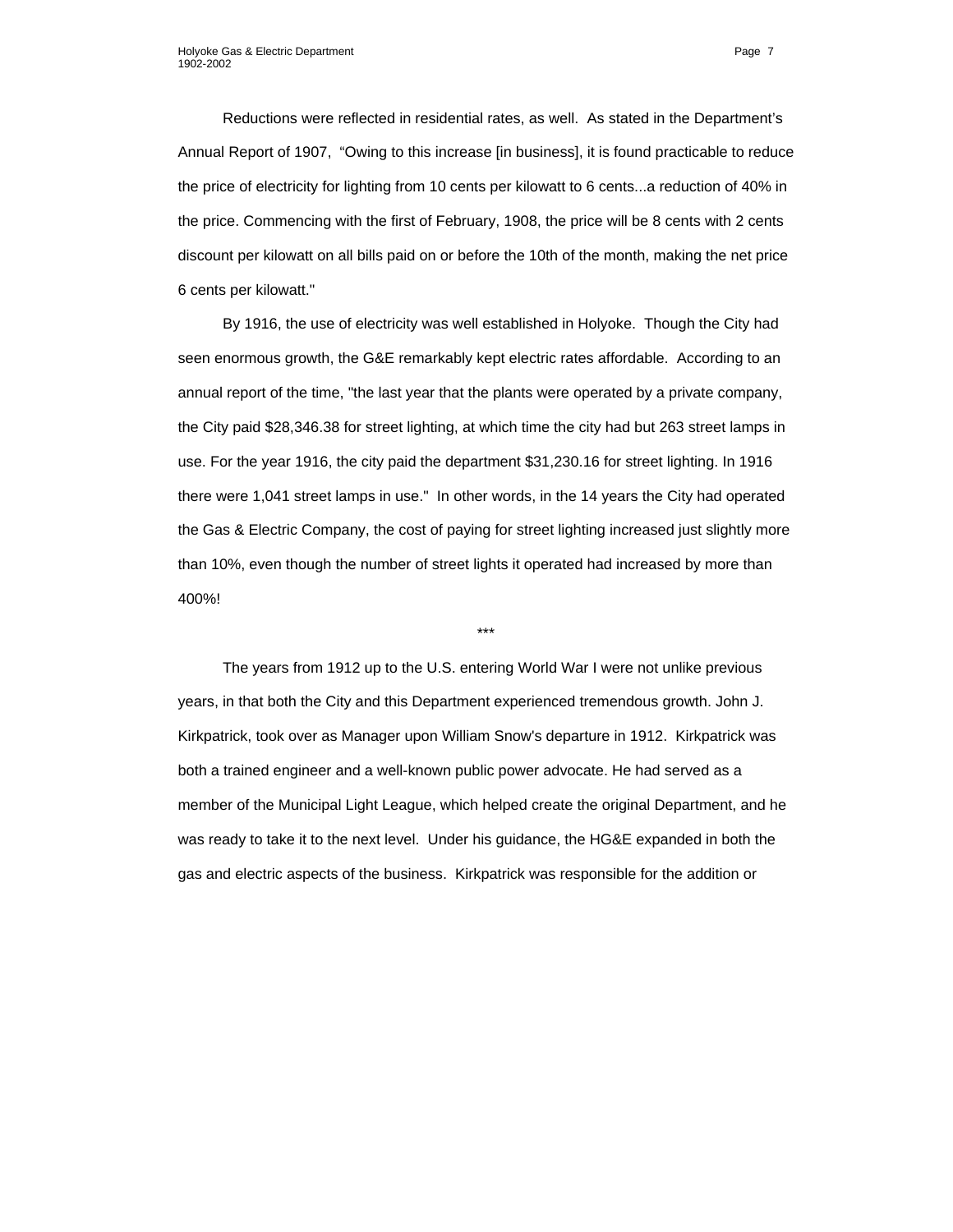Reductions were reflected in residential rates, as well. As stated in the Department's Annual Report of 1907, "Owing to this increase [in business], it is found practicable to reduce the price of electricity for lighting from 10 cents per kilowatt to 6 cents...a reduction of 40% in the price. Commencing with the first of February, 1908, the price will be 8 cents with 2 cents discount per kilowatt on all bills paid on or before the 10th of the month, making the net price 6 cents per kilowatt."

By 1916, the use of electricity was well established in Holyoke. Though the City had seen enormous growth, the G&E remarkably kept electric rates affordable. According to an annual report of the time, "the last year that the plants were operated by a private company, the City paid \$28,346.38 for street lighting, at which time the city had but 263 street lamps in use. For the year 1916, the city paid the department \$31,230.16 for street lighting. In 1916 there were 1,041 street lamps in use." In other words, in the 14 years the City had operated the Gas & Electric Company, the cost of paying for street lighting increased just slightly more than 10%, even though the number of street lights it operated had increased by more than 400%!

The years from 1912 up to the U.S. entering World War I were not unlike previous years, in that both the City and this Department experienced tremendous growth. John J. Kirkpatrick, took over as Manager upon William Snow's departure in 1912. Kirkpatrick was both a trained engineer and a well-known public power advocate. He had served as a member of the Municipal Light League, which helped create the original Department, and he was ready to take it to the next level. Under his guidance, the HG&E expanded in both the gas and electric aspects of the business. Kirkpatrick was responsible for the addition or

\*\*\*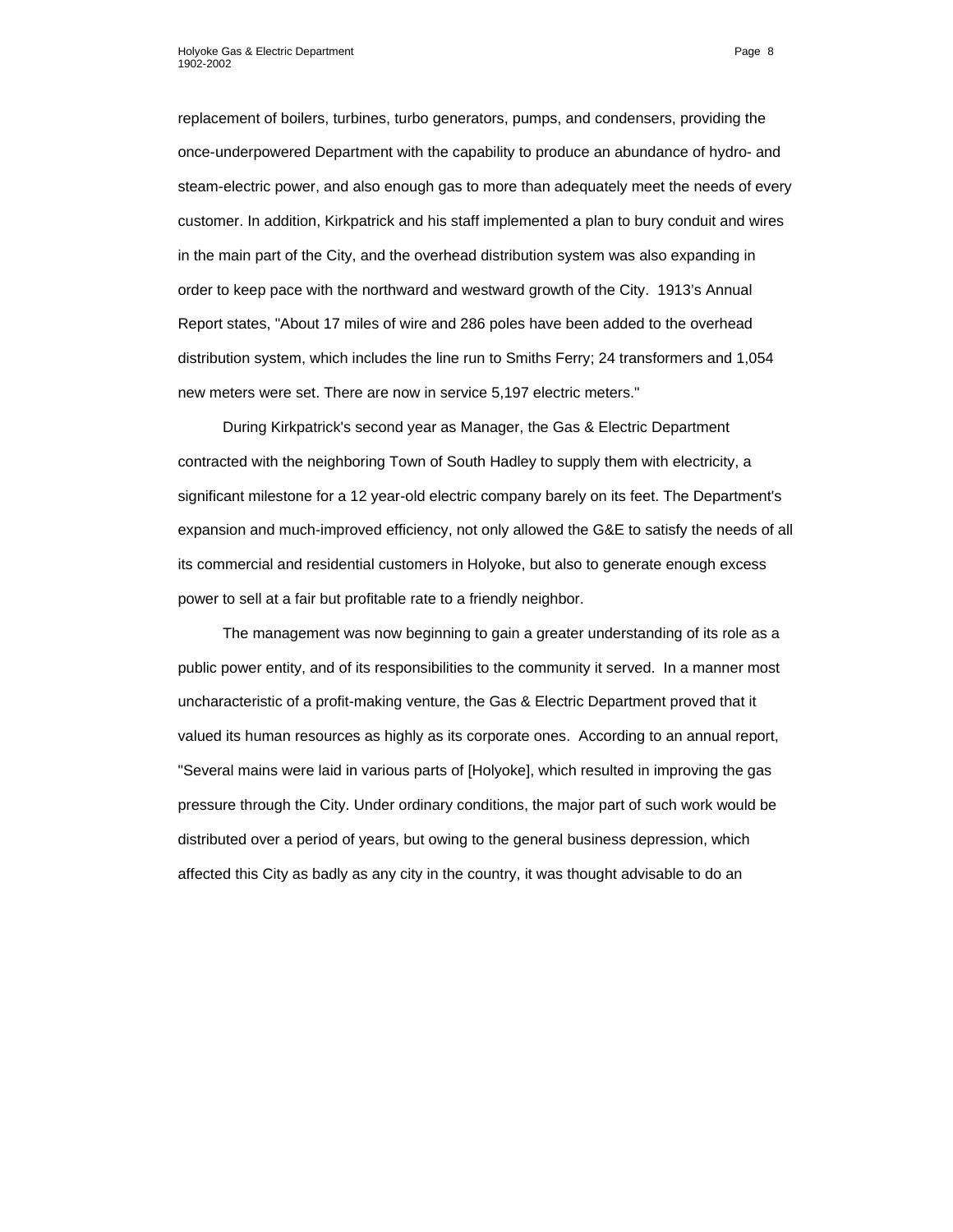replacement of boilers, turbines, turbo generators, pumps, and condensers, providing the once-underpowered Department with the capability to produce an abundance of hydro- and steam-electric power, and also enough gas to more than adequately meet the needs of every customer. In addition, Kirkpatrick and his staff implemented a plan to bury conduit and wires in the main part of the City, and the overhead distribution system was also expanding in order to keep pace with the northward and westward growth of the City. 1913's Annual Report states, "About 17 miles of wire and 286 poles have been added to the overhead distribution system, which includes the line run to Smiths Ferry; 24 transformers and 1,054 new meters were set. There are now in service 5,197 electric meters."

During Kirkpatrick's second year as Manager, the Gas & Electric Department contracted with the neighboring Town of South Hadley to supply them with electricity, a significant milestone for a 12 year-old electric company barely on its feet. The Department's expansion and much-improved efficiency, not only allowed the G&E to satisfy the needs of all its commercial and residential customers in Holyoke, but also to generate enough excess power to sell at a fair but profitable rate to a friendly neighbor.

The management was now beginning to gain a greater understanding of its role as a public power entity, and of its responsibilities to the community it served. In a manner most uncharacteristic of a profit-making venture, the Gas & Electric Department proved that it valued its human resources as highly as its corporate ones. According to an annual report, "Several mains were laid in various parts of [Holyoke], which resulted in improving the gas pressure through the City. Under ordinary conditions, the major part of such work would be distributed over a period of years, but owing to the general business depression, which affected this City as badly as any city in the country, it was thought advisable to do an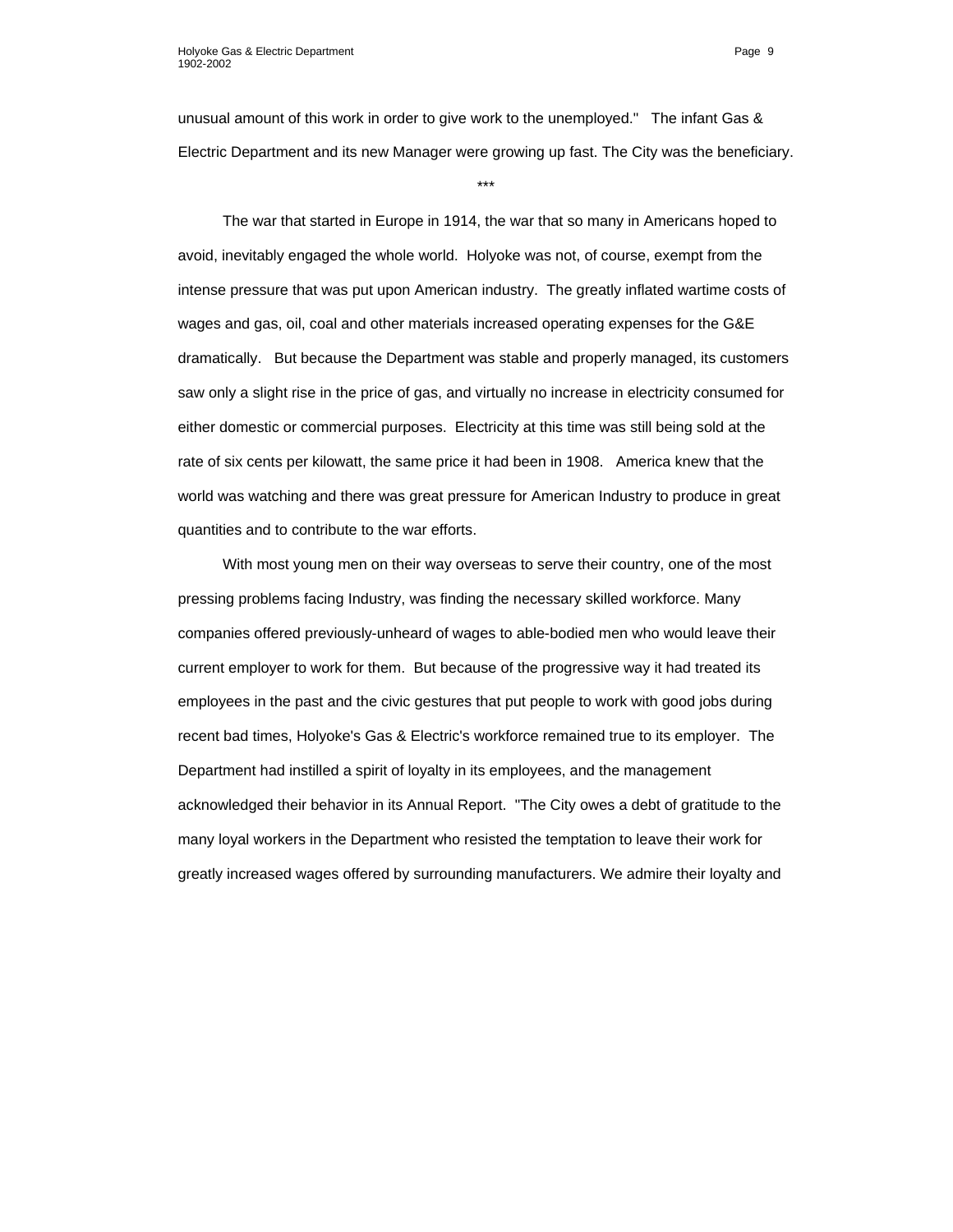unusual amount of this work in order to give work to the unemployed." The infant Gas & Electric Department and its new Manager were growing up fast. The City was the beneficiary.

\*\*\*

The war that started in Europe in 1914, the war that so many in Americans hoped to avoid, inevitably engaged the whole world. Holyoke was not, of course, exempt from the intense pressure that was put upon American industry. The greatly inflated wartime costs of wages and gas, oil, coal and other materials increased operating expenses for the G&E dramatically. But because the Department was stable and properly managed, its customers saw only a slight rise in the price of gas, and virtually no increase in electricity consumed for either domestic or commercial purposes. Electricity at this time was still being sold at the rate of six cents per kilowatt, the same price it had been in 1908. America knew that the world was watching and there was great pressure for American Industry to produce in great quantities and to contribute to the war efforts.

With most young men on their way overseas to serve their country, one of the most pressing problems facing Industry, was finding the necessary skilled workforce. Many companies offered previously-unheard of wages to able-bodied men who would leave their current employer to work for them. But because of the progressive way it had treated its employees in the past and the civic gestures that put people to work with good jobs during recent bad times, Holyoke's Gas & Electric's workforce remained true to its employer. The Department had instilled a spirit of loyalty in its employees, and the management acknowledged their behavior in its Annual Report. "The City owes a debt of gratitude to the many loyal workers in the Department who resisted the temptation to leave their work for greatly increased wages offered by surrounding manufacturers. We admire their loyalty and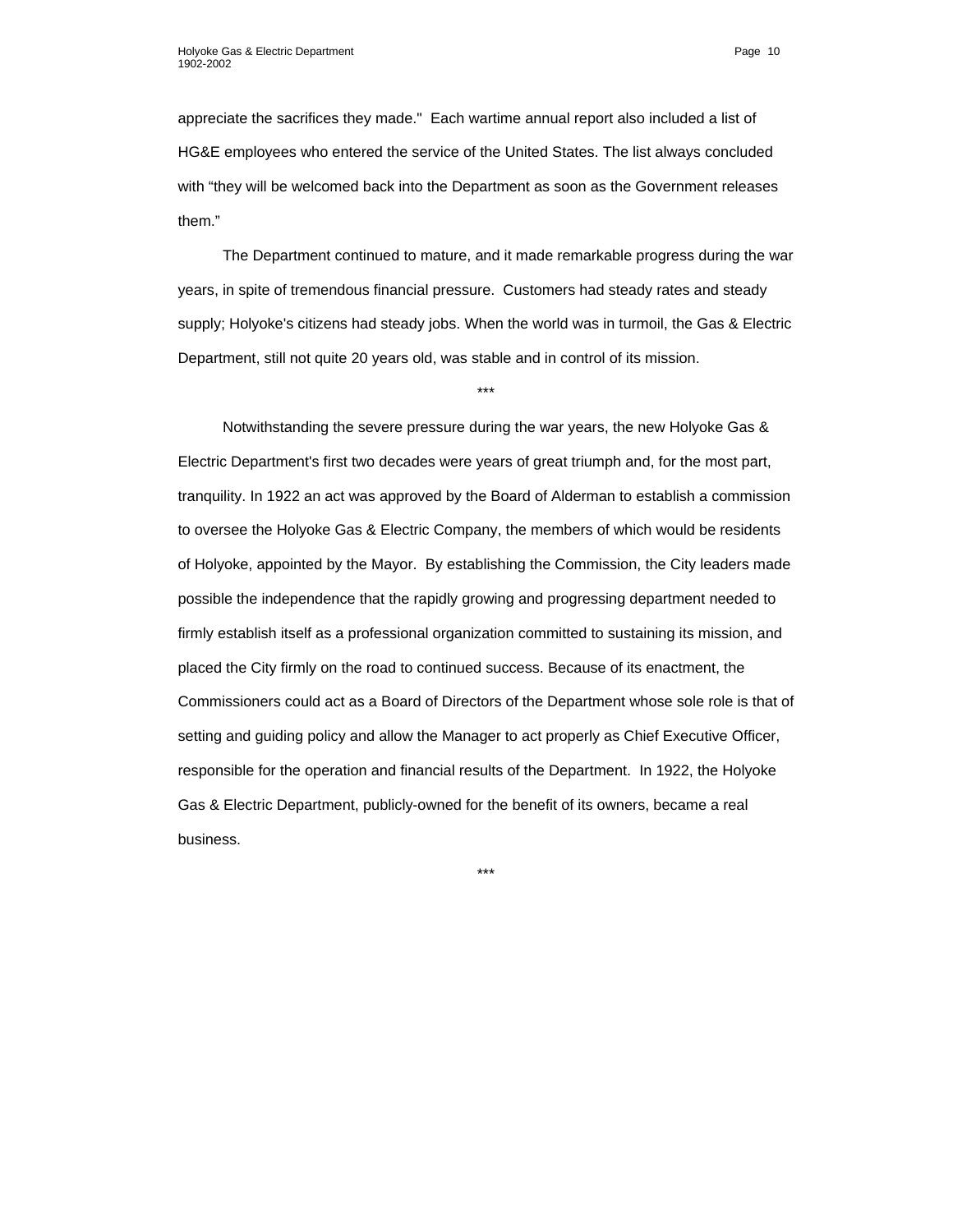appreciate the sacrifices they made." Each wartime annual report also included a list of HG&E employees who entered the service of the United States. The list always concluded with "they will be welcomed back into the Department as soon as the Government releases them."

The Department continued to mature, and it made remarkable progress during the war years, in spite of tremendous financial pressure. Customers had steady rates and steady supply; Holyoke's citizens had steady jobs. When the world was in turmoil, the Gas & Electric Department, still not quite 20 years old, was stable and in control of its mission.

\*\*\*

Notwithstanding the severe pressure during the war years, the new Holyoke Gas & Electric Department's first two decades were years of great triumph and, for the most part, tranquility. In 1922 an act was approved by the Board of Alderman to establish a commission to oversee the Holyoke Gas & Electric Company, the members of which would be residents of Holyoke, appointed by the Mayor. By establishing the Commission, the City leaders made possible the independence that the rapidly growing and progressing department needed to firmly establish itself as a professional organization committed to sustaining its mission, and placed the City firmly on the road to continued success. Because of its enactment, the Commissioners could act as a Board of Directors of the Department whose sole role is that of setting and guiding policy and allow the Manager to act properly as Chief Executive Officer, responsible for the operation and financial results of the Department. In 1922, the Holyoke Gas & Electric Department, publicly-owned for the benefit of its owners, became a real business.

\*\*\*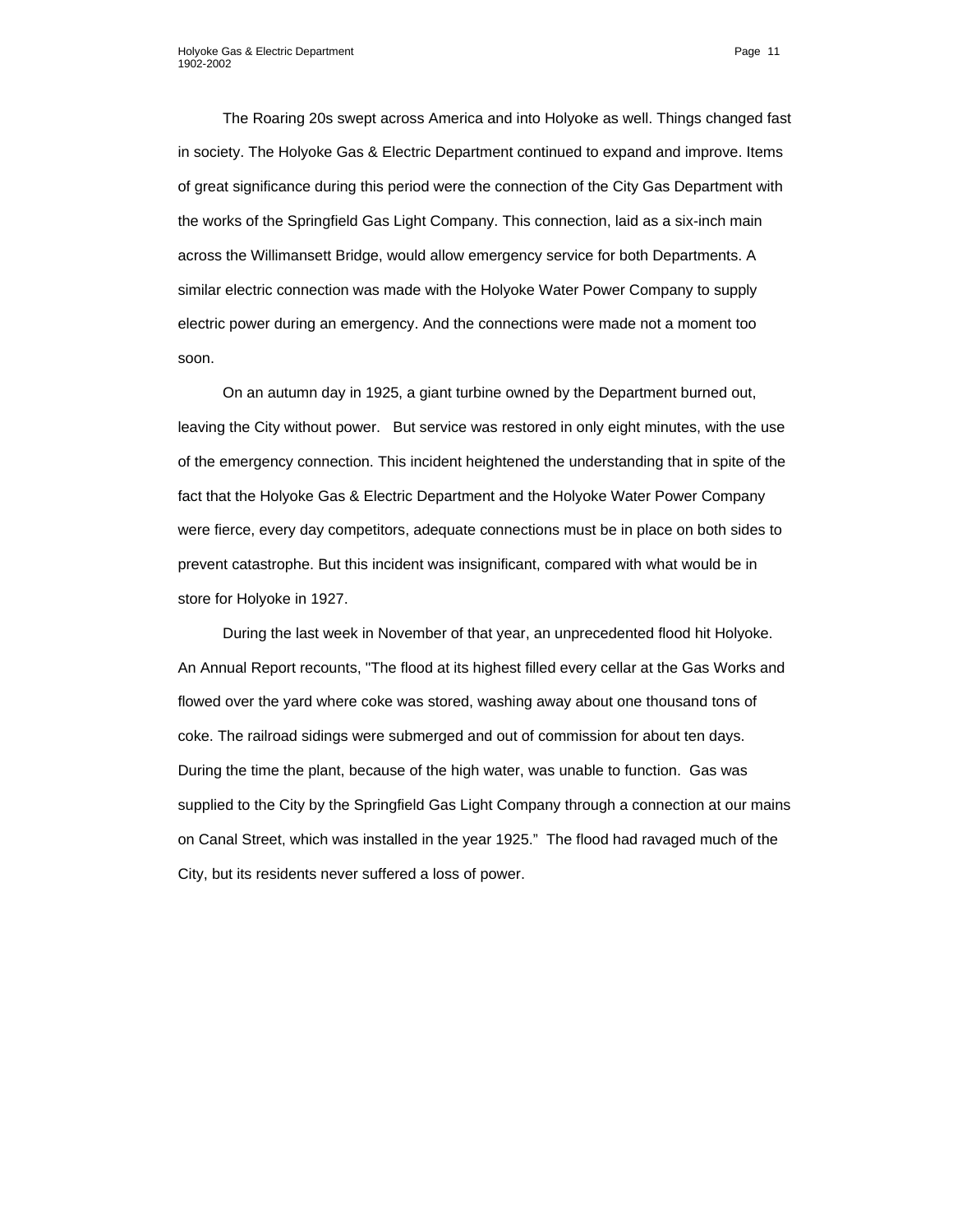The Roaring 20s swept across America and into Holyoke as well. Things changed fast in society. The Holyoke Gas & Electric Department continued to expand and improve. Items of great significance during this period were the connection of the City Gas Department with the works of the Springfield Gas Light Company. This connection, laid as a six-inch main across the Willimansett Bridge, would allow emergency service for both Departments. A similar electric connection was made with the Holyoke Water Power Company to supply electric power during an emergency. And the connections were made not a moment too soon.

On an autumn day in 1925, a giant turbine owned by the Department burned out, leaving the City without power. But service was restored in only eight minutes, with the use of the emergency connection. This incident heightened the understanding that in spite of the fact that the Holyoke Gas & Electric Department and the Holyoke Water Power Company were fierce, every day competitors, adequate connections must be in place on both sides to prevent catastrophe. But this incident was insignificant, compared with what would be in store for Holyoke in 1927.

During the last week in November of that year, an unprecedented flood hit Holyoke. An Annual Report recounts, "The flood at its highest filled every cellar at the Gas Works and flowed over the yard where coke was stored, washing away about one thousand tons of coke. The railroad sidings were submerged and out of commission for about ten days. During the time the plant, because of the high water, was unable to function. Gas was supplied to the City by the Springfield Gas Light Company through a connection at our mains on Canal Street, which was installed in the year 1925." The flood had ravaged much of the City, but its residents never suffered a loss of power.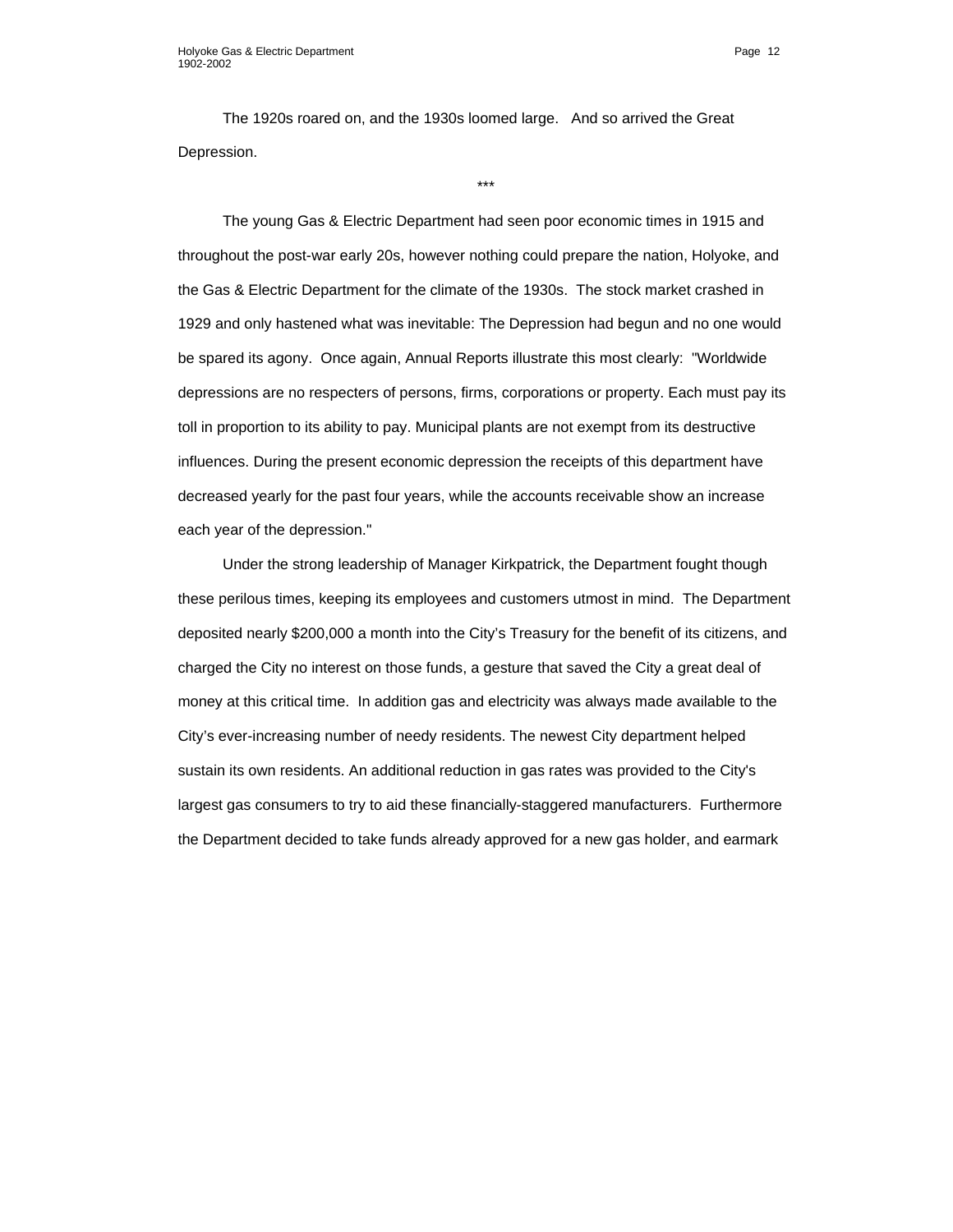The 1920s roared on, and the 1930s loomed large. And so arrived the Great Depression.

\*\*\*

The young Gas & Electric Department had seen poor economic times in 1915 and throughout the post-war early 20s, however nothing could prepare the nation, Holyoke, and the Gas & Electric Department for the climate of the 1930s. The stock market crashed in 1929 and only hastened what was inevitable: The Depression had begun and no one would be spared its agony. Once again, Annual Reports illustrate this most clearly: "Worldwide depressions are no respecters of persons, firms, corporations or property. Each must pay its toll in proportion to its ability to pay. Municipal plants are not exempt from its destructive influences. During the present economic depression the receipts of this department have decreased yearly for the past four years, while the accounts receivable show an increase each year of the depression."

Under the strong leadership of Manager Kirkpatrick, the Department fought though these perilous times, keeping its employees and customers utmost in mind. The Department deposited nearly \$200,000 a month into the City's Treasury for the benefit of its citizens, and charged the City no interest on those funds, a gesture that saved the City a great deal of money at this critical time. In addition gas and electricity was always made available to the City's ever-increasing number of needy residents. The newest City department helped sustain its own residents. An additional reduction in gas rates was provided to the City's largest gas consumers to try to aid these financially-staggered manufacturers. Furthermore the Department decided to take funds already approved for a new gas holder, and earmark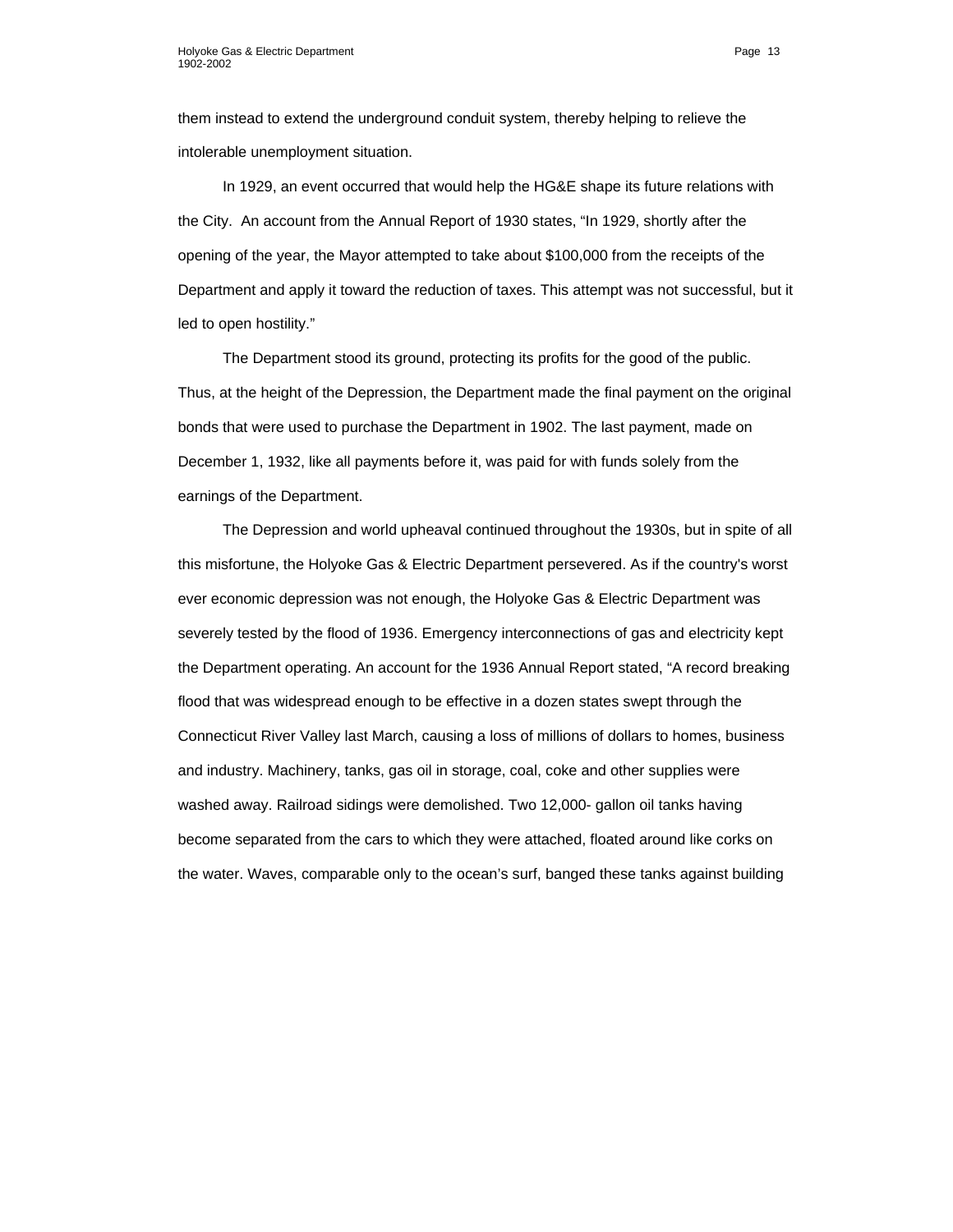them instead to extend the underground conduit system, thereby helping to relieve the intolerable unemployment situation.

In 1929, an event occurred that would help the HG&E shape its future relations with the City. An account from the Annual Report of 1930 states, "In 1929, shortly after the opening of the year, the Mayor attempted to take about \$100,000 from the receipts of the Department and apply it toward the reduction of taxes. This attempt was not successful, but it led to open hostility."

The Department stood its ground, protecting its profits for the good of the public. Thus, at the height of the Depression, the Department made the final payment on the original bonds that were used to purchase the Department in 1902. The last payment, made on December 1, 1932, like all payments before it, was paid for with funds solely from the earnings of the Department.

The Depression and world upheaval continued throughout the 1930s, but in spite of all this misfortune, the Holyoke Gas & Electric Department persevered. As if the country's worst ever economic depression was not enough, the Holyoke Gas & Electric Department was severely tested by the flood of 1936. Emergency interconnections of gas and electricity kept the Department operating. An account for the 1936 Annual Report stated, "A record breaking flood that was widespread enough to be effective in a dozen states swept through the Connecticut River Valley last March, causing a loss of millions of dollars to homes, business and industry. Machinery, tanks, gas oil in storage, coal, coke and other supplies were washed away. Railroad sidings were demolished. Two 12,000- gallon oil tanks having become separated from the cars to which they were attached, floated around like corks on the water. Waves, comparable only to the ocean's surf, banged these tanks against building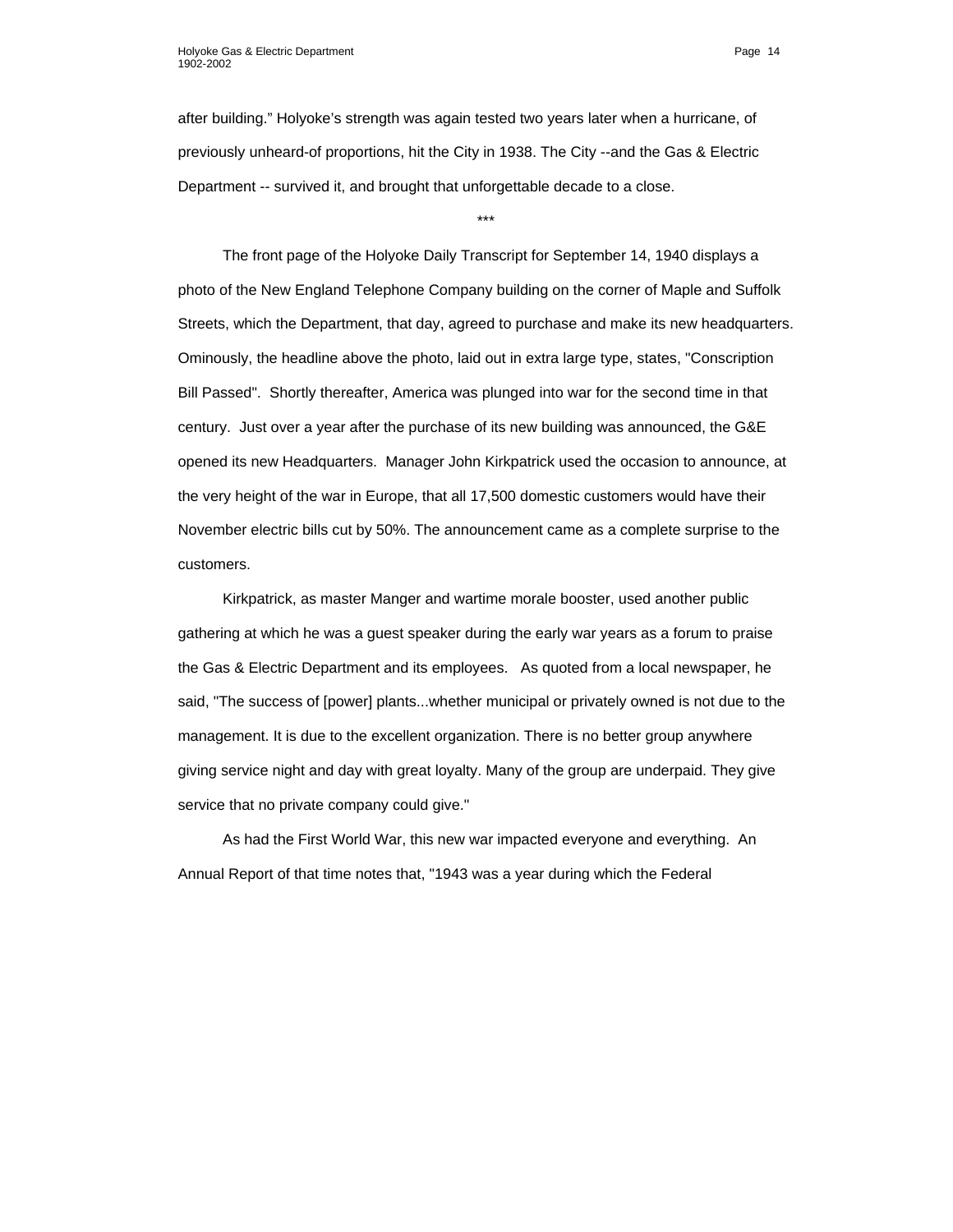after building." Holyoke's strength was again tested two years later when a hurricane, of previously unheard-of proportions, hit the City in 1938. The City --and the Gas & Electric Department -- survived it, and brought that unforgettable decade to a close.

\*\*\*

The front page of the Holyoke Daily Transcript for September 14, 1940 displays a photo of the New England Telephone Company building on the corner of Maple and Suffolk Streets, which the Department, that day, agreed to purchase and make its new headquarters. Ominously, the headline above the photo, laid out in extra large type, states, "Conscription Bill Passed". Shortly thereafter, America was plunged into war for the second time in that century. Just over a year after the purchase of its new building was announced, the G&E opened its new Headquarters. Manager John Kirkpatrick used the occasion to announce, at the very height of the war in Europe, that all 17,500 domestic customers would have their November electric bills cut by 50%. The announcement came as a complete surprise to the customers.

Kirkpatrick, as master Manger and wartime morale booster, used another public gathering at which he was a guest speaker during the early war years as a forum to praise the Gas & Electric Department and its employees. As quoted from a local newspaper, he said, "The success of [power] plants...whether municipal or privately owned is not due to the management. It is due to the excellent organization. There is no better group anywhere giving service night and day with great loyalty. Many of the group are underpaid. They give service that no private company could give."

As had the First World War, this new war impacted everyone and everything. An Annual Report of that time notes that, "1943 was a year during which the Federal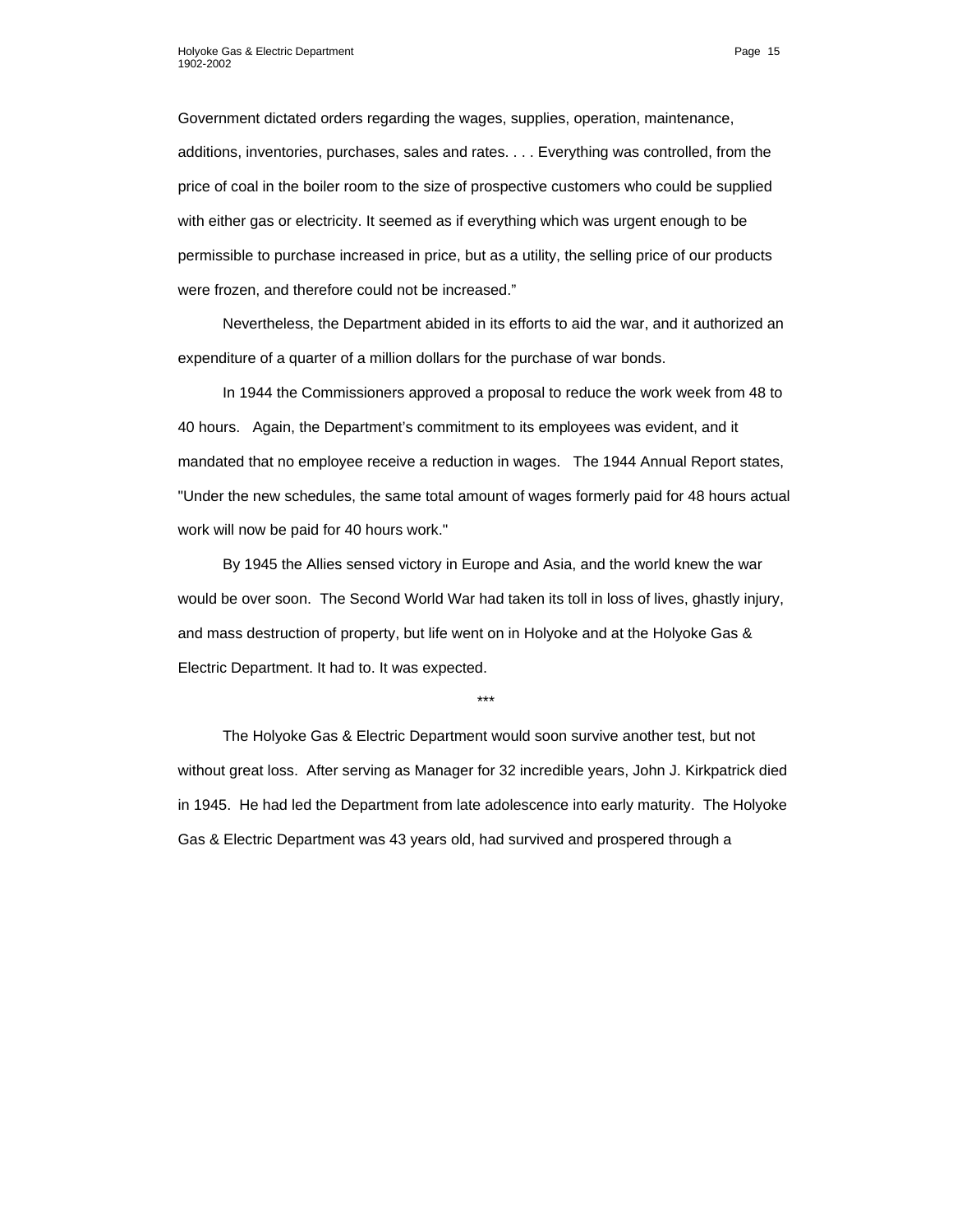Government dictated orders regarding the wages, supplies, operation, maintenance, additions, inventories, purchases, sales and rates. . . . Everything was controlled, from the price of coal in the boiler room to the size of prospective customers who could be supplied with either gas or electricity. It seemed as if everything which was urgent enough to be permissible to purchase increased in price, but as a utility, the selling price of our products were frozen, and therefore could not be increased."

Nevertheless, the Department abided in its efforts to aid the war, and it authorized an expenditure of a quarter of a million dollars for the purchase of war bonds.

In 1944 the Commissioners approved a proposal to reduce the work week from 48 to 40 hours. Again, the Department's commitment to its employees was evident, and it mandated that no employee receive a reduction in wages. The 1944 Annual Report states, "Under the new schedules, the same total amount of wages formerly paid for 48 hours actual work will now be paid for 40 hours work."

By 1945 the Allies sensed victory in Europe and Asia, and the world knew the war would be over soon. The Second World War had taken its toll in loss of lives, ghastly injury, and mass destruction of property, but life went on in Holyoke and at the Holyoke Gas & Electric Department. It had to. It was expected.

\*\*\*

The Holyoke Gas & Electric Department would soon survive another test, but not without great loss. After serving as Manager for 32 incredible years, John J. Kirkpatrick died in 1945. He had led the Department from late adolescence into early maturity. The Holyoke Gas & Electric Department was 43 years old, had survived and prospered through a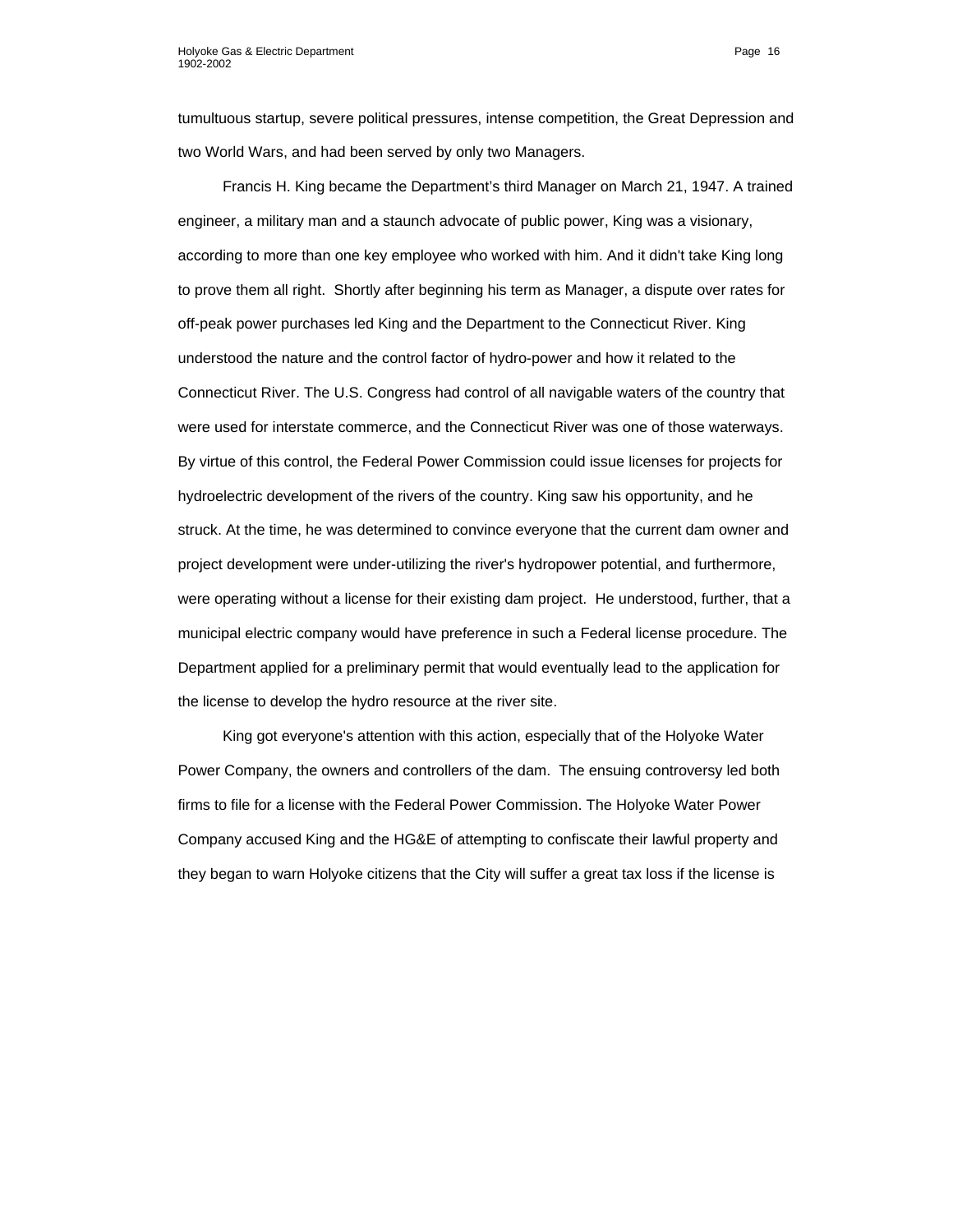tumultuous startup, severe political pressures, intense competition, the Great Depression and two World Wars, and had been served by only two Managers.

Francis H. King became the Department's third Manager on March 21, 1947. A trained engineer, a military man and a staunch advocate of public power, King was a visionary, according to more than one key employee who worked with him. And it didn't take King long to prove them all right. Shortly after beginning his term as Manager, a dispute over rates for off-peak power purchases led King and the Department to the Connecticut River. King understood the nature and the control factor of hydro-power and how it related to the Connecticut River. The U.S. Congress had control of all navigable waters of the country that were used for interstate commerce, and the Connecticut River was one of those waterways. By virtue of this control, the Federal Power Commission could issue licenses for projects for hydroelectric development of the rivers of the country. King saw his opportunity, and he struck. At the time, he was determined to convince everyone that the current dam owner and project development were under-utilizing the river's hydropower potential, and furthermore, were operating without a license for their existing dam project. He understood, further, that a municipal electric company would have preference in such a Federal license procedure. The Department applied for a preliminary permit that would eventually lead to the application for the license to develop the hydro resource at the river site.

King got everyone's attention with this action, especially that of the Holyoke Water Power Company, the owners and controllers of the dam. The ensuing controversy led both firms to file for a license with the Federal Power Commission. The Holyoke Water Power Company accused King and the HG&E of attempting to confiscate their lawful property and they began to warn Holyoke citizens that the City will suffer a great tax loss if the license is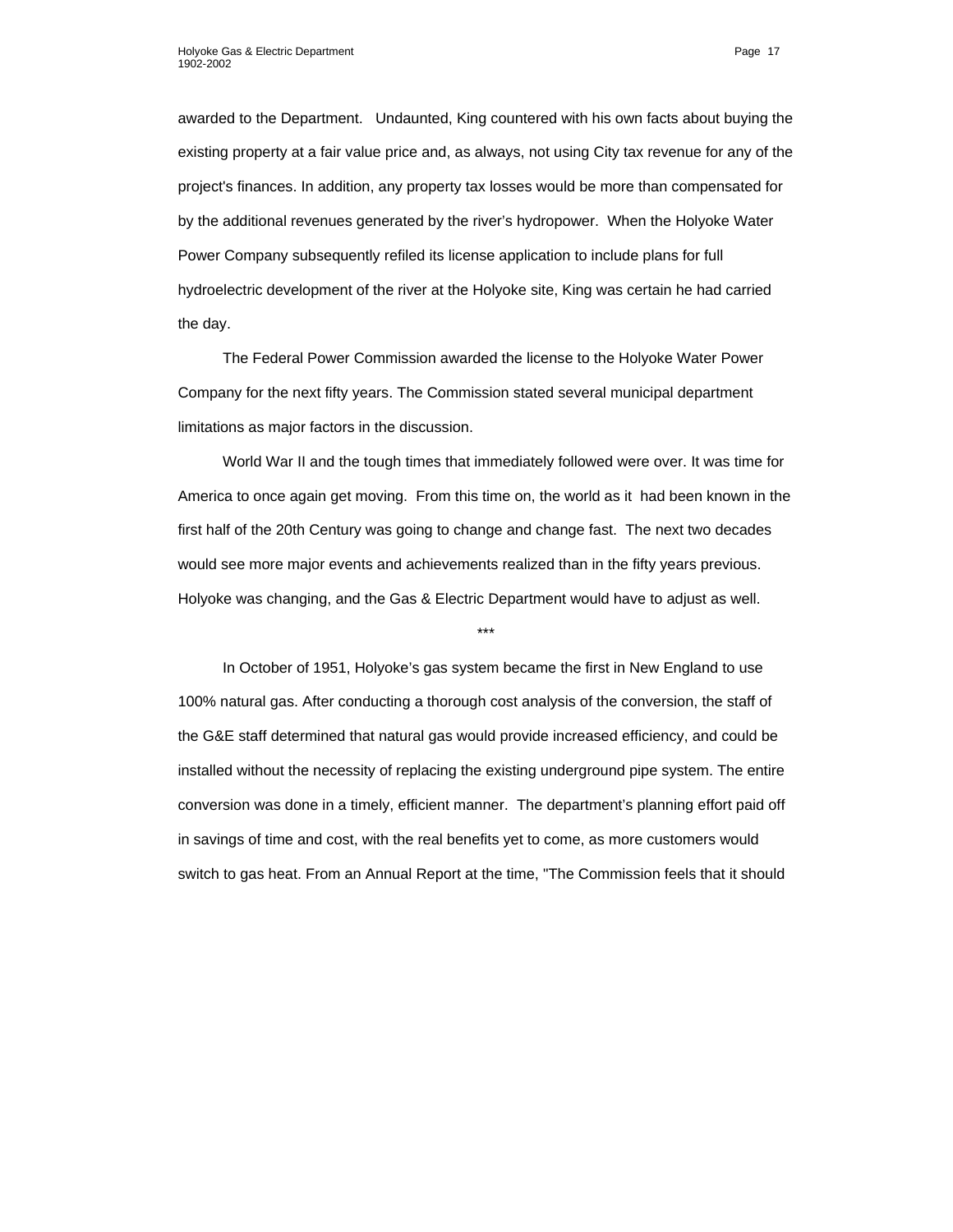awarded to the Department. Undaunted, King countered with his own facts about buying the existing property at a fair value price and, as always, not using City tax revenue for any of the project's finances. In addition, any property tax losses would be more than compensated for by the additional revenues generated by the river's hydropower. When the Holyoke Water Power Company subsequently refiled its license application to include plans for full hydroelectric development of the river at the Holyoke site, King was certain he had carried the day.

The Federal Power Commission awarded the license to the Holyoke Water Power Company for the next fifty years. The Commission stated several municipal department limitations as major factors in the discussion.

World War II and the tough times that immediately followed were over. It was time for America to once again get moving. From this time on, the world as it had been known in the first half of the 20th Century was going to change and change fast. The next two decades would see more major events and achievements realized than in the fifty years previous. Holyoke was changing, and the Gas & Electric Department would have to adjust as well.

\*\*\*

In October of 1951, Holyoke's gas system became the first in New England to use 100% natural gas. After conducting a thorough cost analysis of the conversion, the staff of the G&E staff determined that natural gas would provide increased efficiency, and could be installed without the necessity of replacing the existing underground pipe system. The entire conversion was done in a timely, efficient manner. The department's planning effort paid off in savings of time and cost, with the real benefits yet to come, as more customers would switch to gas heat. From an Annual Report at the time, "The Commission feels that it should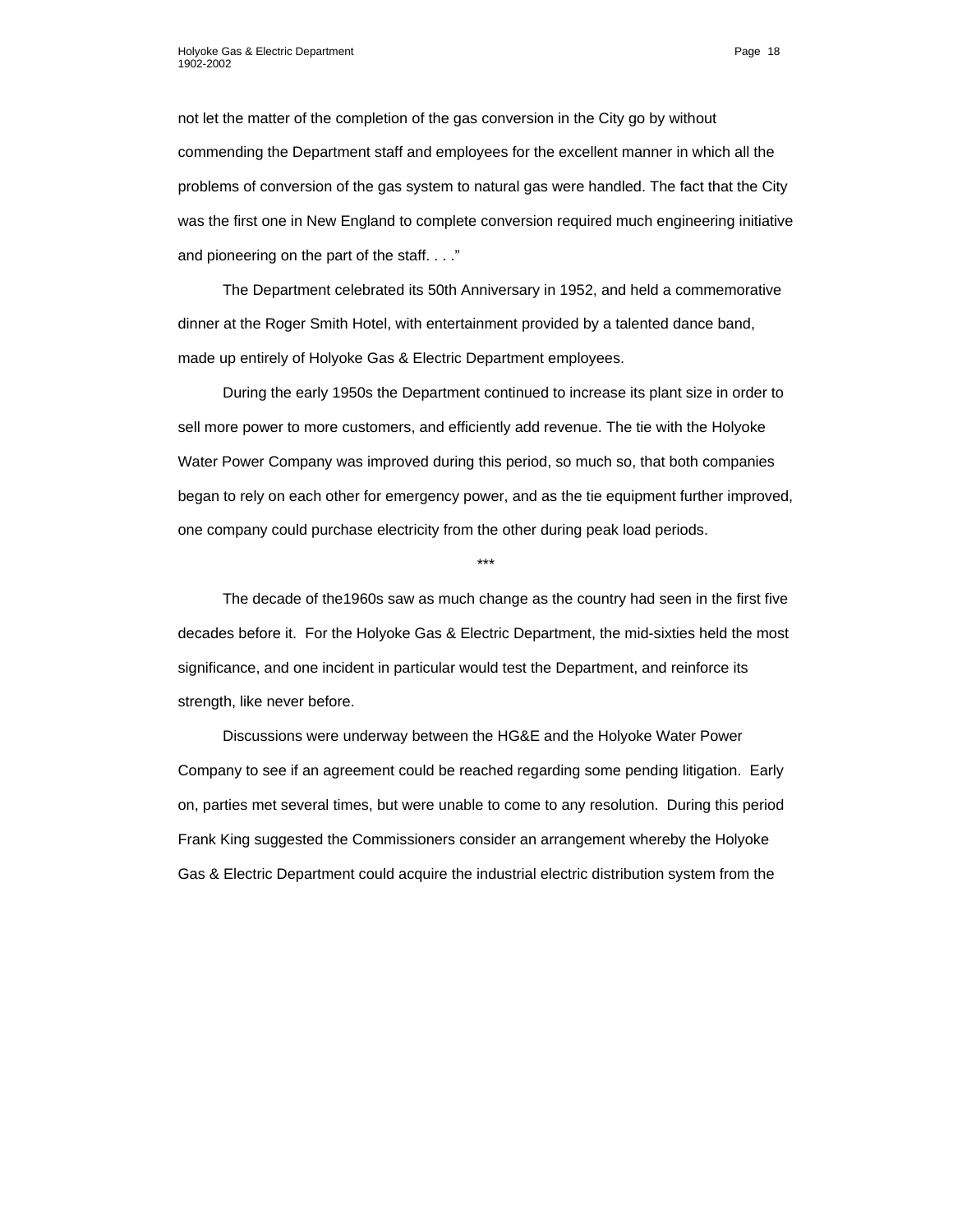not let the matter of the completion of the gas conversion in the City go by without commending the Department staff and employees for the excellent manner in which all the problems of conversion of the gas system to natural gas were handled. The fact that the City was the first one in New England to complete conversion required much engineering initiative and pioneering on the part of the staff. . . ."

The Department celebrated its 50th Anniversary in 1952, and held a commemorative dinner at the Roger Smith Hotel, with entertainment provided by a talented dance band, made up entirely of Holyoke Gas & Electric Department employees.

During the early 1950s the Department continued to increase its plant size in order to sell more power to more customers, and efficiently add revenue. The tie with the Holyoke Water Power Company was improved during this period, so much so, that both companies began to rely on each other for emergency power, and as the tie equipment further improved, one company could purchase electricity from the other during peak load periods.

\*\*\*

The decade of the1960s saw as much change as the country had seen in the first five decades before it. For the Holyoke Gas & Electric Department, the mid-sixties held the most significance, and one incident in particular would test the Department, and reinforce its strength, like never before.

Discussions were underway between the HG&E and the Holyoke Water Power Company to see if an agreement could be reached regarding some pending litigation. Early on, parties met several times, but were unable to come to any resolution. During this period Frank King suggested the Commissioners consider an arrangement whereby the Holyoke Gas & Electric Department could acquire the industrial electric distribution system from the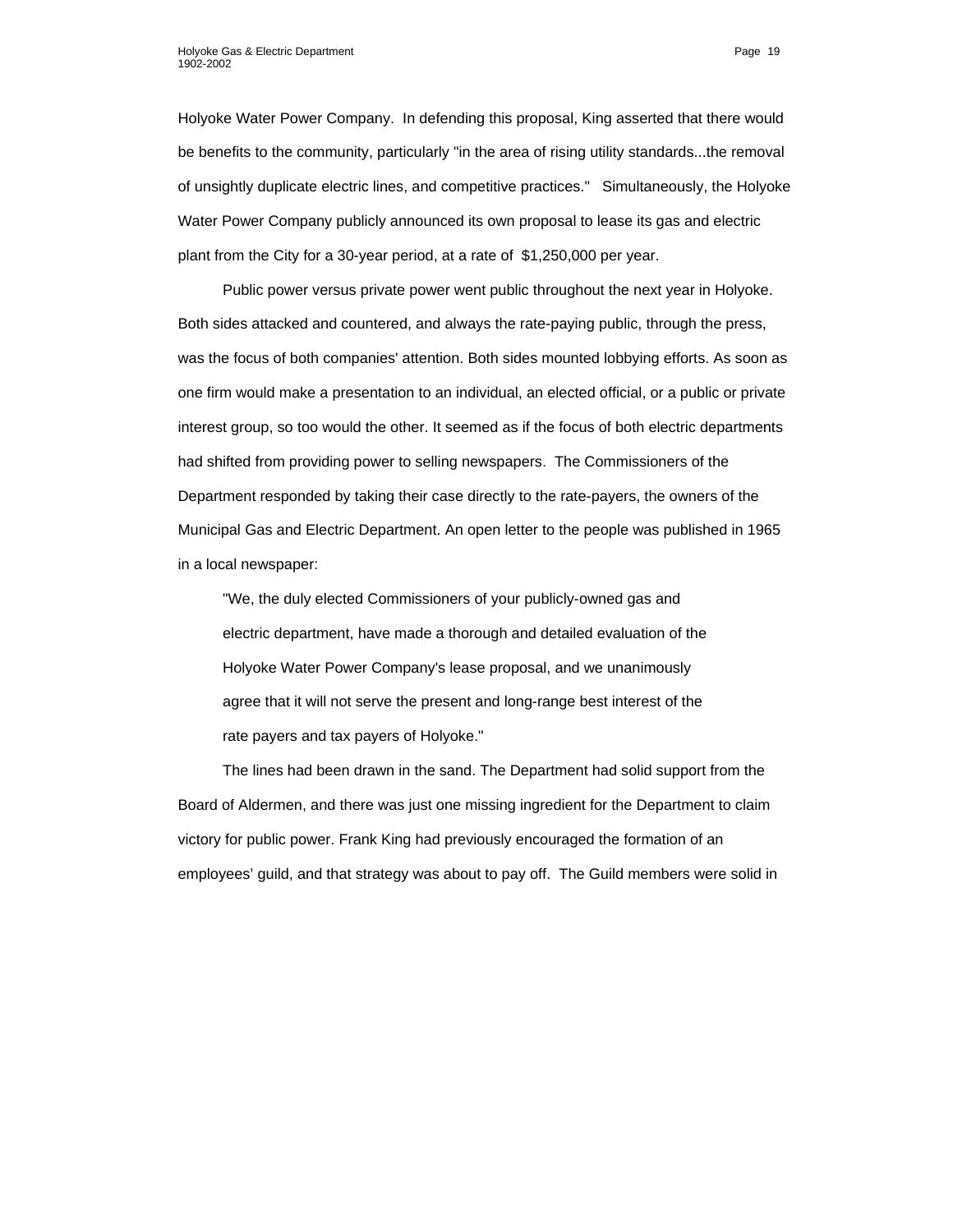Holyoke Water Power Company. In defending this proposal, King asserted that there would be benefits to the community, particularly "in the area of rising utility standards...the removal of unsightly duplicate electric lines, and competitive practices." Simultaneously, the Holyoke Water Power Company publicly announced its own proposal to lease its gas and electric plant from the City for a 30-year period, at a rate of \$1,250,000 per year.

Public power versus private power went public throughout the next year in Holyoke. Both sides attacked and countered, and always the rate-paying public, through the press, was the focus of both companies' attention. Both sides mounted lobbying efforts. As soon as one firm would make a presentation to an individual, an elected official, or a public or private interest group, so too would the other. It seemed as if the focus of both electric departments had shifted from providing power to selling newspapers. The Commissioners of the Department responded by taking their case directly to the rate-payers, the owners of the Municipal Gas and Electric Department. An open letter to the people was published in 1965 in a local newspaper:

"We, the duly elected Commissioners of your publicly-owned gas and electric department, have made a thorough and detailed evaluation of the Holyoke Water Power Company's lease proposal, and we unanimously agree that it will not serve the present and long-range best interest of the rate payers and tax payers of Holyoke."

The lines had been drawn in the sand. The Department had solid support from the Board of Aldermen, and there was just one missing ingredient for the Department to claim victory for public power. Frank King had previously encouraged the formation of an employees' guild, and that strategy was about to pay off. The Guild members were solid in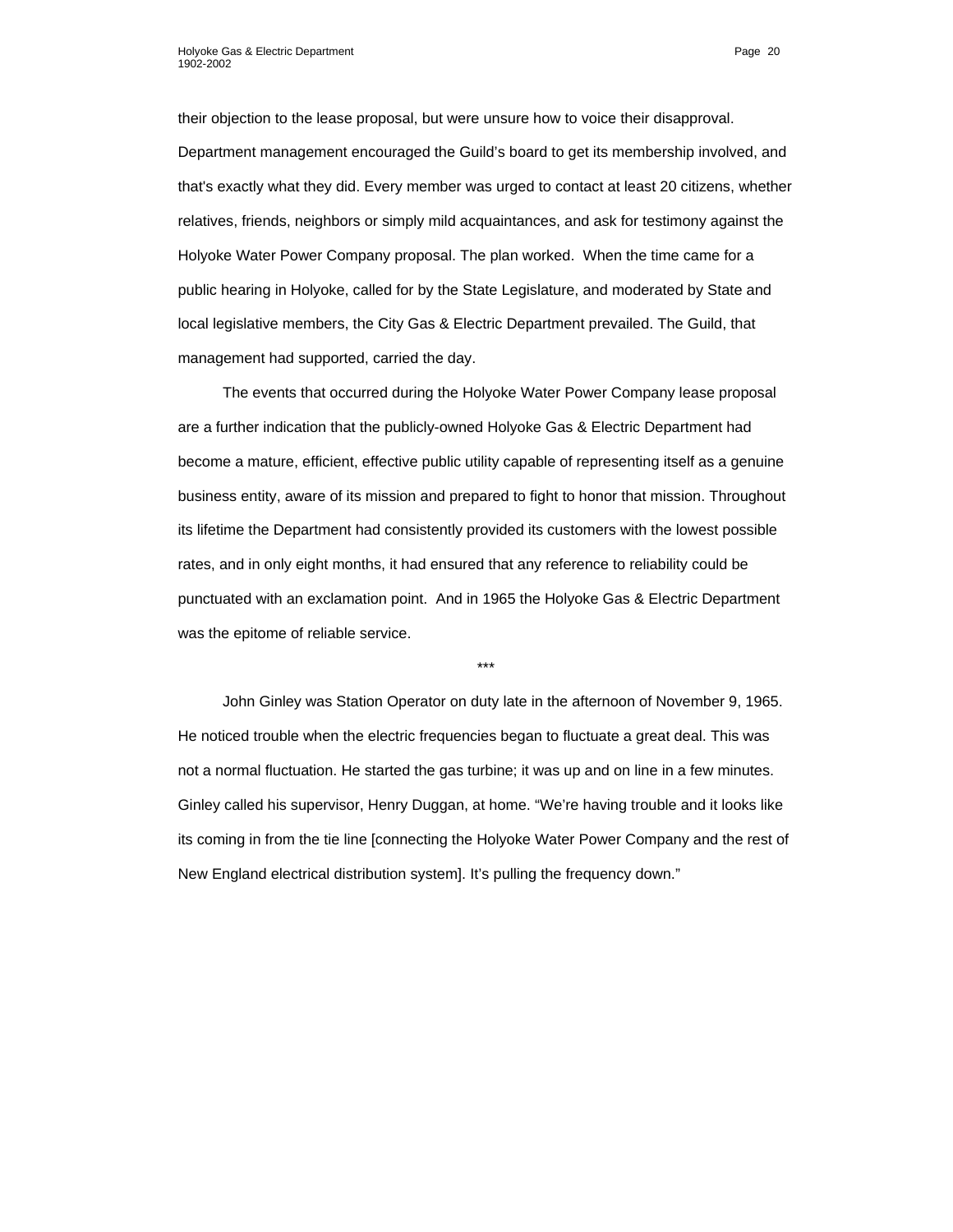their objection to the lease proposal, but were unsure how to voice their disapproval. Department management encouraged the Guild's board to get its membership involved, and that's exactly what they did. Every member was urged to contact at least 20 citizens, whether relatives, friends, neighbors or simply mild acquaintances, and ask for testimony against the Holyoke Water Power Company proposal. The plan worked. When the time came for a public hearing in Holyoke, called for by the State Legislature, and moderated by State and local legislative members, the City Gas & Electric Department prevailed. The Guild, that management had supported, carried the day.

The events that occurred during the Holyoke Water Power Company lease proposal are a further indication that the publicly-owned Holyoke Gas & Electric Department had become a mature, efficient, effective public utility capable of representing itself as a genuine business entity, aware of its mission and prepared to fight to honor that mission. Throughout its lifetime the Department had consistently provided its customers with the lowest possible rates, and in only eight months, it had ensured that any reference to reliability could be punctuated with an exclamation point. And in 1965 the Holyoke Gas & Electric Department was the epitome of reliable service.

John Ginley was Station Operator on duty late in the afternoon of November 9, 1965. He noticed trouble when the electric frequencies began to fluctuate a great deal. This was not a normal fluctuation. He started the gas turbine; it was up and on line in a few minutes. Ginley called his supervisor, Henry Duggan, at home. "We're having trouble and it looks like its coming in from the tie line [connecting the Holyoke Water Power Company and the rest of New England electrical distribution system]. It's pulling the frequency down."

\*\*\*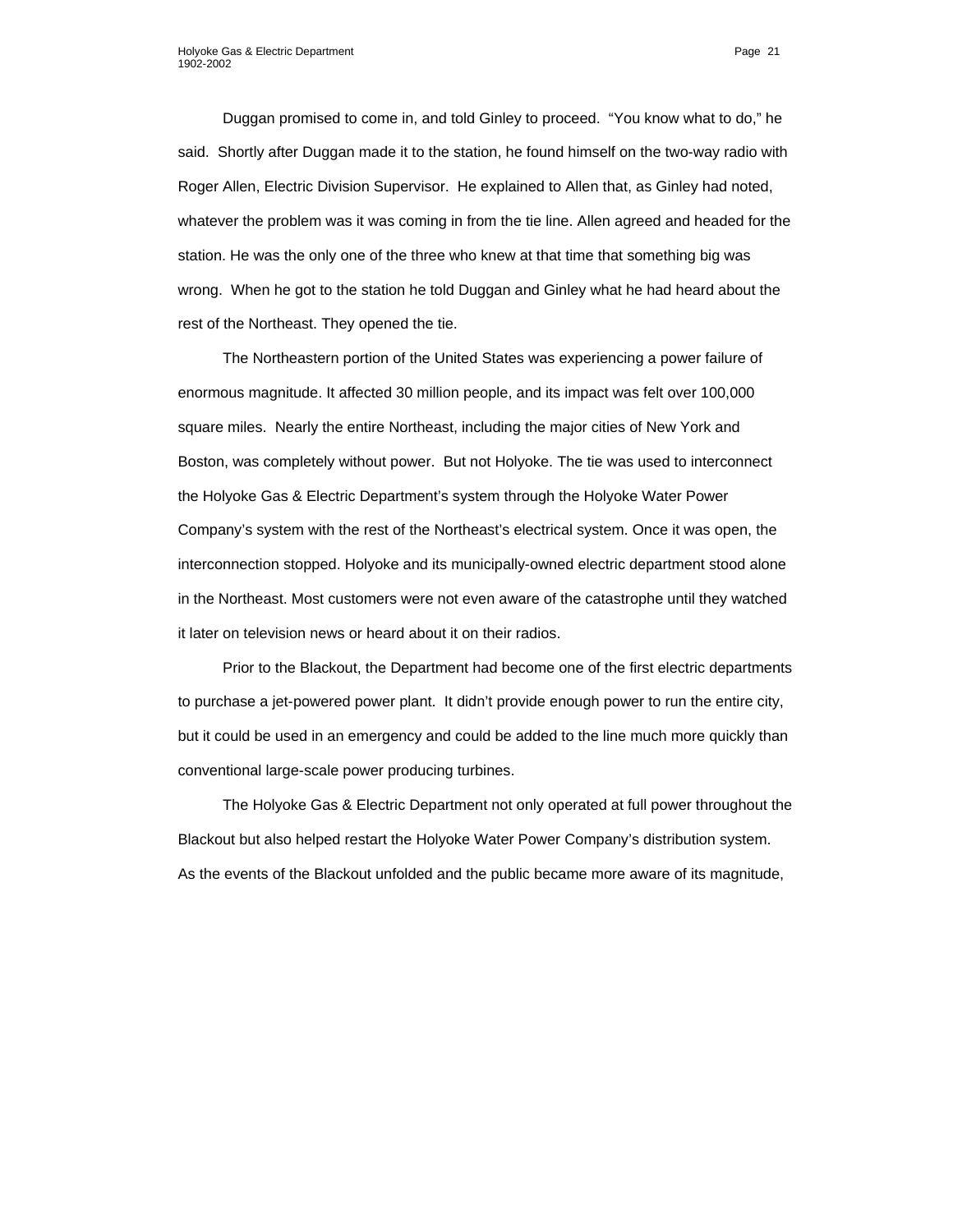Duggan promised to come in, and told Ginley to proceed. "You know what to do," he said. Shortly after Duggan made it to the station, he found himself on the two-way radio with Roger Allen, Electric Division Supervisor. He explained to Allen that, as Ginley had noted, whatever the problem was it was coming in from the tie line. Allen agreed and headed for the station. He was the only one of the three who knew at that time that something big was wrong. When he got to the station he told Duggan and Ginley what he had heard about the rest of the Northeast. They opened the tie.

The Northeastern portion of the United States was experiencing a power failure of enormous magnitude. It affected 30 million people, and its impact was felt over 100,000 square miles. Nearly the entire Northeast, including the major cities of New York and Boston, was completely without power. But not Holyoke. The tie was used to interconnect the Holyoke Gas & Electric Department's system through the Holyoke Water Power Company's system with the rest of the Northeast's electrical system. Once it was open, the interconnection stopped. Holyoke and its municipally-owned electric department stood alone in the Northeast. Most customers were not even aware of the catastrophe until they watched it later on television news or heard about it on their radios.

Prior to the Blackout, the Department had become one of the first electric departments to purchase a jet-powered power plant. It didn't provide enough power to run the entire city, but it could be used in an emergency and could be added to the line much more quickly than conventional large-scale power producing turbines.

The Holyoke Gas & Electric Department not only operated at full power throughout the Blackout but also helped restart the Holyoke Water Power Company's distribution system. As the events of the Blackout unfolded and the public became more aware of its magnitude,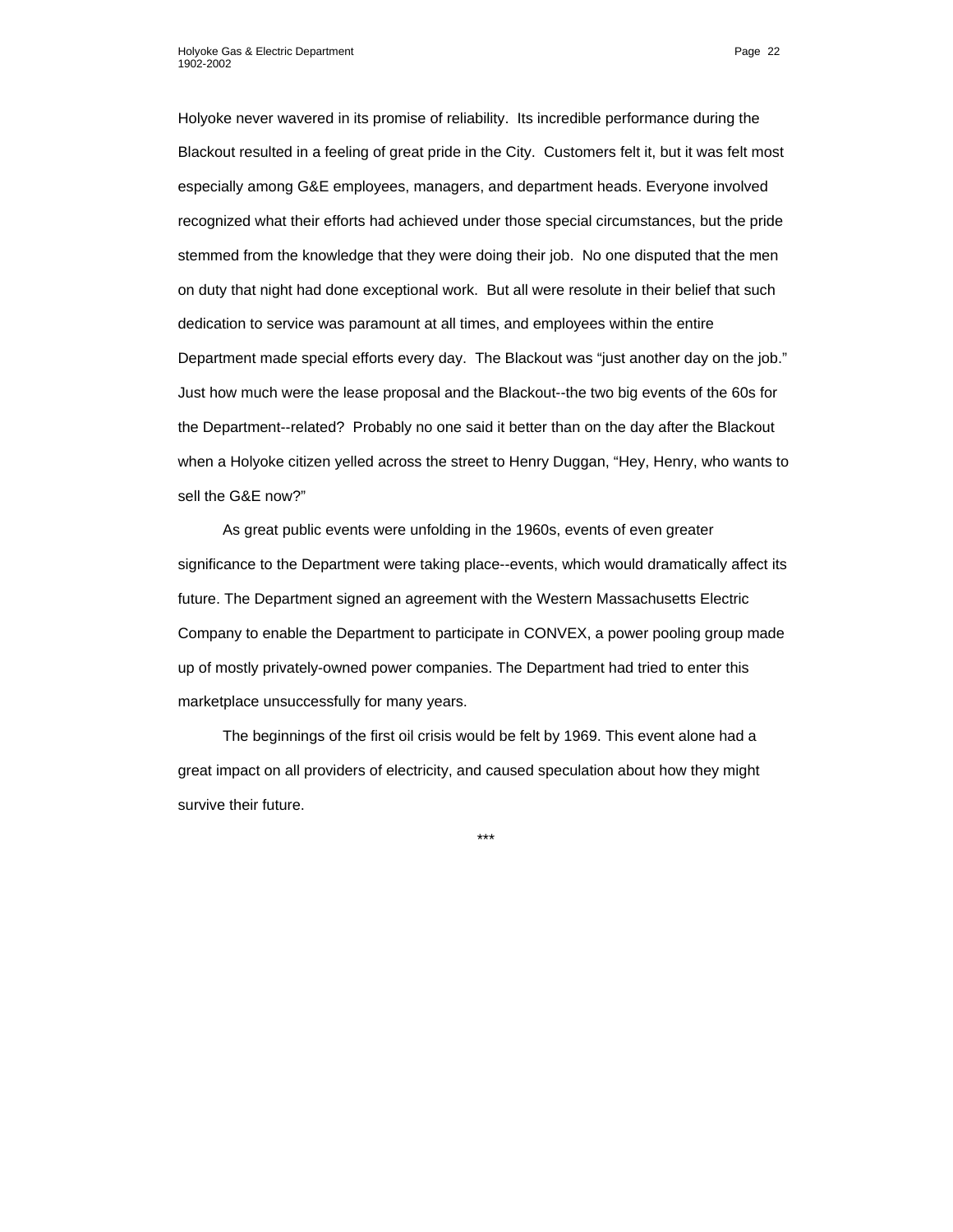Holyoke never wavered in its promise of reliability. Its incredible performance during the Blackout resulted in a feeling of great pride in the City. Customers felt it, but it was felt most especially among G&E employees, managers, and department heads. Everyone involved recognized what their efforts had achieved under those special circumstances, but the pride stemmed from the knowledge that they were doing their job. No one disputed that the men on duty that night had done exceptional work. But all were resolute in their belief that such dedication to service was paramount at all times, and employees within the entire Department made special efforts every day. The Blackout was "just another day on the job." Just how much were the lease proposal and the Blackout--the two big events of the 60s for the Department--related? Probably no one said it better than on the day after the Blackout when a Holyoke citizen yelled across the street to Henry Duggan, "Hey, Henry, who wants to sell the G&E now?"

As great public events were unfolding in the 1960s, events of even greater significance to the Department were taking place--events, which would dramatically affect its future. The Department signed an agreement with the Western Massachusetts Electric Company to enable the Department to participate in CONVEX, a power pooling group made up of mostly privately-owned power companies. The Department had tried to enter this marketplace unsuccessfully for many years.

The beginnings of the first oil crisis would be felt by 1969. This event alone had a great impact on all providers of electricity, and caused speculation about how they might survive their future.

\*\*\*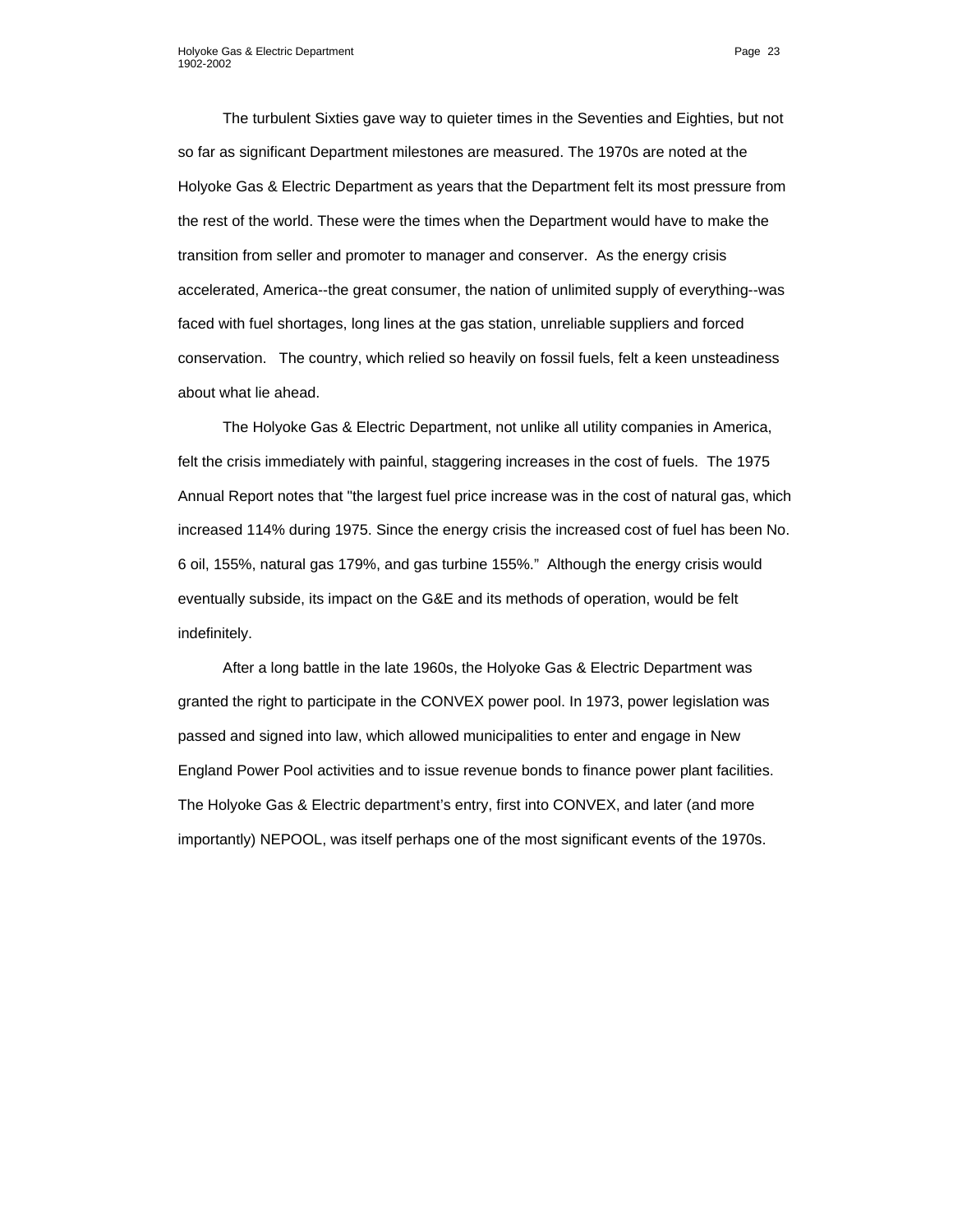The turbulent Sixties gave way to quieter times in the Seventies and Eighties, but not so far as significant Department milestones are measured. The 1970s are noted at the Holyoke Gas & Electric Department as years that the Department felt its most pressure from the rest of the world. These were the times when the Department would have to make the transition from seller and promoter to manager and conserver. As the energy crisis accelerated, America--the great consumer, the nation of unlimited supply of everything--was faced with fuel shortages, long lines at the gas station, unreliable suppliers and forced conservation. The country, which relied so heavily on fossil fuels, felt a keen unsteadiness about what lie ahead.

The Holyoke Gas & Electric Department, not unlike all utility companies in America, felt the crisis immediately with painful, staggering increases in the cost of fuels. The 1975 Annual Report notes that "the largest fuel price increase was in the cost of natural gas, which increased 114% during 1975. Since the energy crisis the increased cost of fuel has been No. 6 oil, 155%, natural gas 179%, and gas turbine 155%." Although the energy crisis would eventually subside, its impact on the G&E and its methods of operation, would be felt indefinitely.

After a long battle in the late 1960s, the Holyoke Gas & Electric Department was granted the right to participate in the CONVEX power pool. In 1973, power legislation was passed and signed into law, which allowed municipalities to enter and engage in New England Power Pool activities and to issue revenue bonds to finance power plant facilities. The Holyoke Gas & Electric department's entry, first into CONVEX, and later (and more importantly) NEPOOL, was itself perhaps one of the most significant events of the 1970s.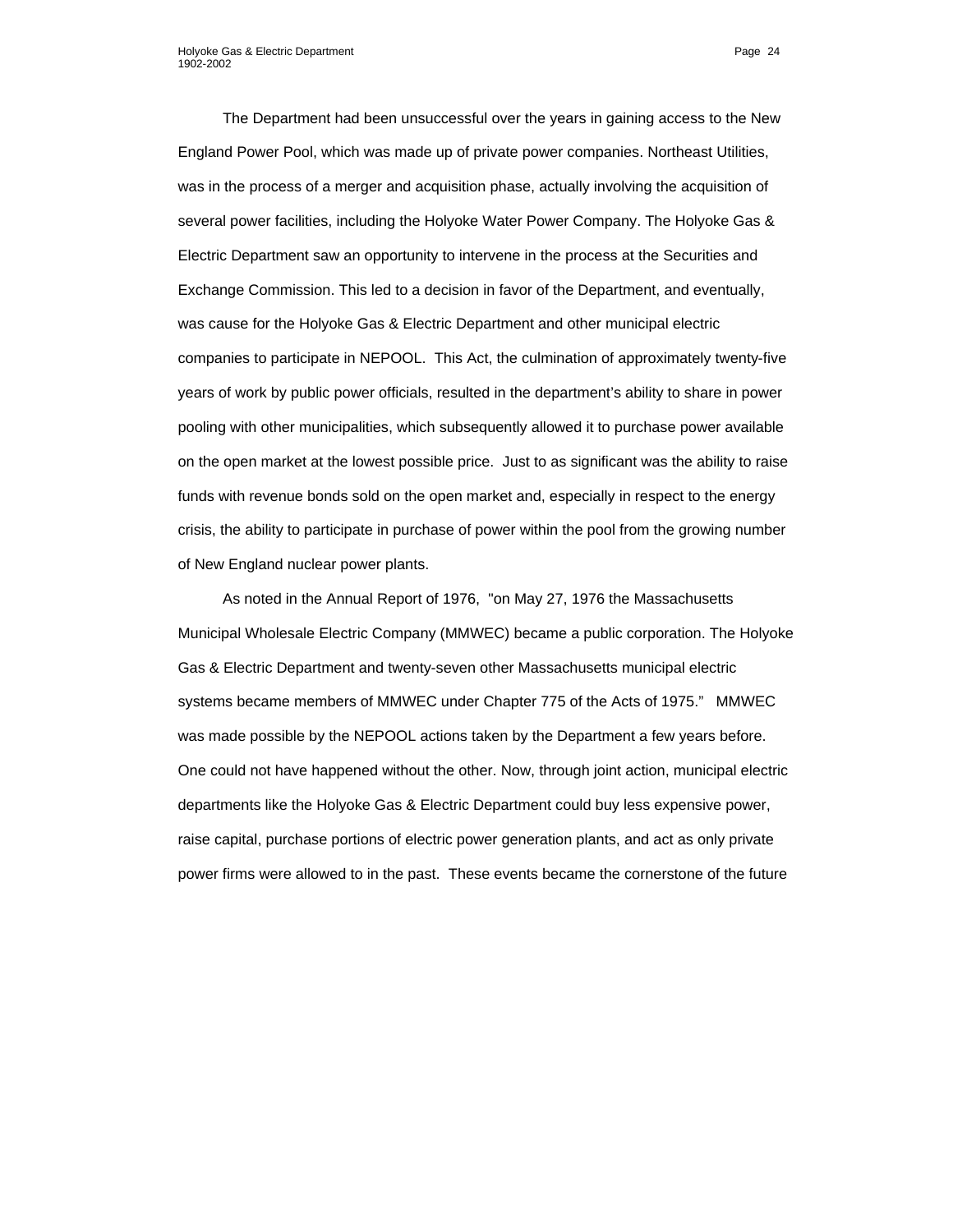The Department had been unsuccessful over the years in gaining access to the New England Power Pool, which was made up of private power companies. Northeast Utilities, was in the process of a merger and acquisition phase, actually involving the acquisition of several power facilities, including the Holyoke Water Power Company. The Holyoke Gas & Electric Department saw an opportunity to intervene in the process at the Securities and Exchange Commission. This led to a decision in favor of the Department, and eventually, was cause for the Holyoke Gas & Electric Department and other municipal electric companies to participate in NEPOOL. This Act, the culmination of approximately twenty-five years of work by public power officials, resulted in the department's ability to share in power pooling with other municipalities, which subsequently allowed it to purchase power available on the open market at the lowest possible price. Just to as significant was the ability to raise funds with revenue bonds sold on the open market and, especially in respect to the energy crisis, the ability to participate in purchase of power within the pool from the growing number of New England nuclear power plants.

As noted in the Annual Report of 1976, "on May 27, 1976 the Massachusetts Municipal Wholesale Electric Company (MMWEC) became a public corporation. The Holyoke Gas & Electric Department and twenty-seven other Massachusetts municipal electric systems became members of MMWEC under Chapter 775 of the Acts of 1975." MMWEC was made possible by the NEPOOL actions taken by the Department a few years before. One could not have happened without the other. Now, through joint action, municipal electric departments like the Holyoke Gas & Electric Department could buy less expensive power, raise capital, purchase portions of electric power generation plants, and act as only private power firms were allowed to in the past. These events became the cornerstone of the future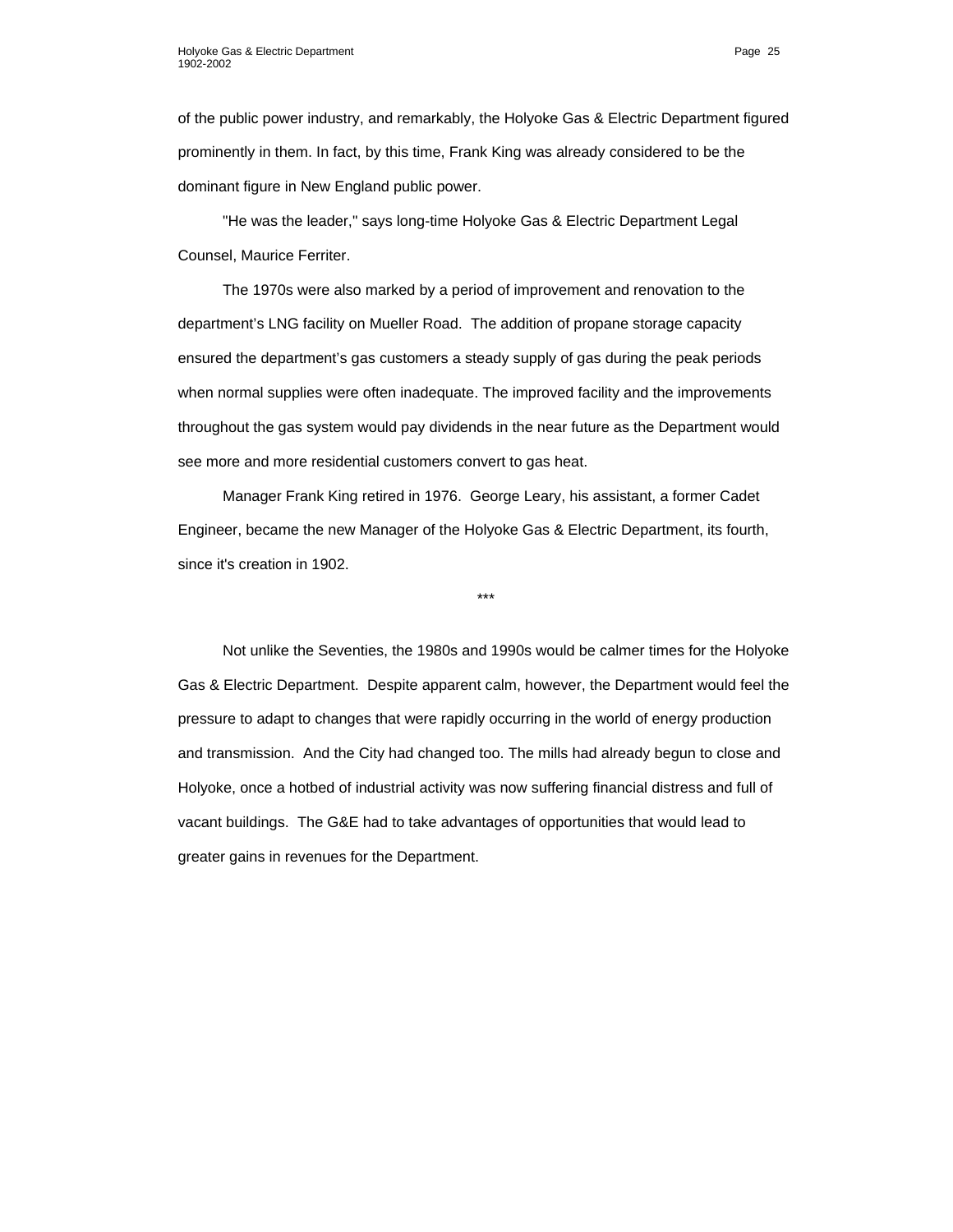of the public power industry, and remarkably, the Holyoke Gas & Electric Department figured prominently in them. In fact, by this time, Frank King was already considered to be the dominant figure in New England public power.

"He was the leader," says long-time Holyoke Gas & Electric Department Legal Counsel, Maurice Ferriter.

The 1970s were also marked by a period of improvement and renovation to the department's LNG facility on Mueller Road. The addition of propane storage capacity ensured the department's gas customers a steady supply of gas during the peak periods when normal supplies were often inadequate. The improved facility and the improvements throughout the gas system would pay dividends in the near future as the Department would see more and more residential customers convert to gas heat.

Manager Frank King retired in 1976. George Leary, his assistant, a former Cadet Engineer, became the new Manager of the Holyoke Gas & Electric Department, its fourth, since it's creation in 1902.

\*\*\*

Not unlike the Seventies, the 1980s and 1990s would be calmer times for the Holyoke Gas & Electric Department. Despite apparent calm, however, the Department would feel the pressure to adapt to changes that were rapidly occurring in the world of energy production and transmission. And the City had changed too. The mills had already begun to close and Holyoke, once a hotbed of industrial activity was now suffering financial distress and full of vacant buildings. The G&E had to take advantages of opportunities that would lead to greater gains in revenues for the Department.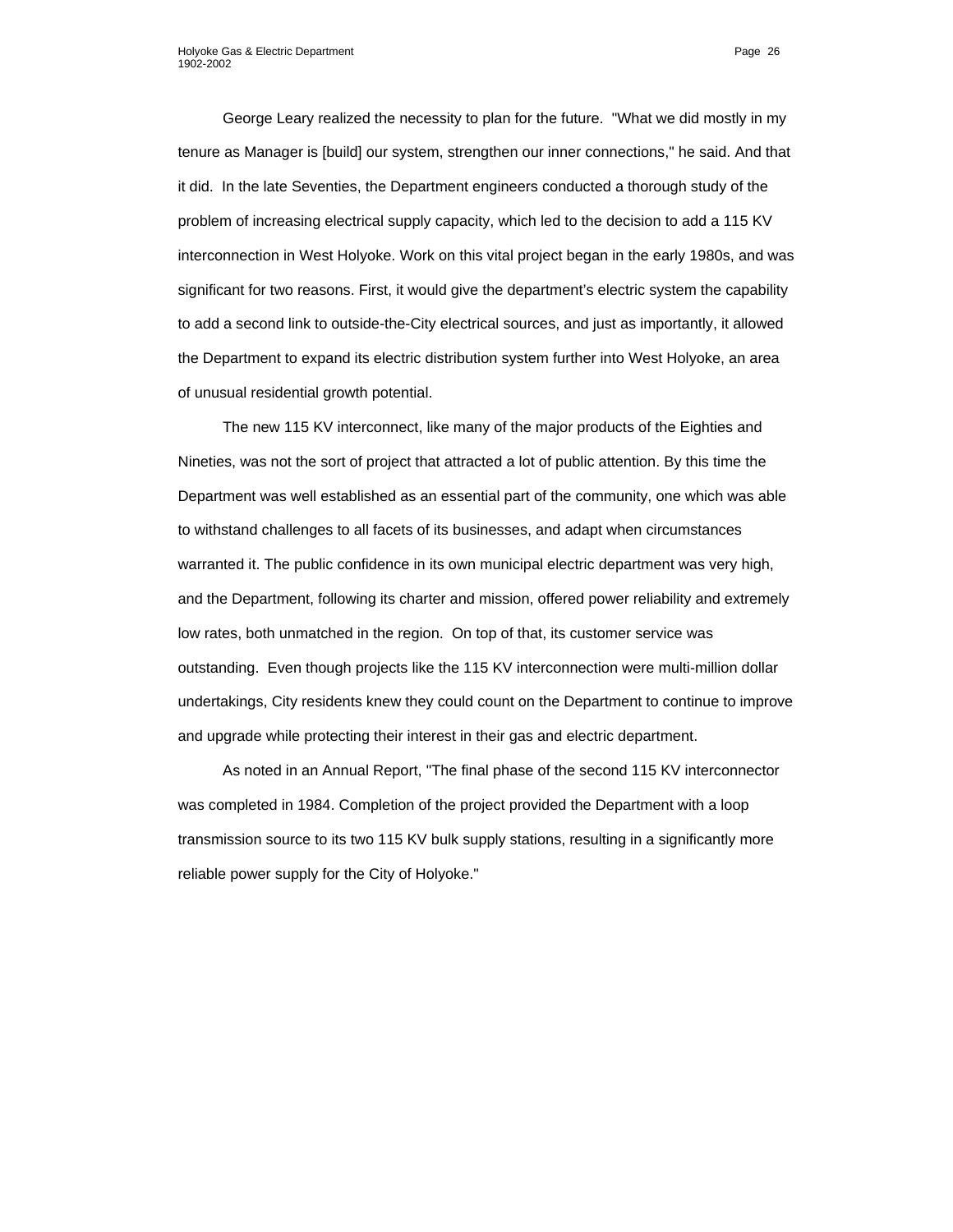George Leary realized the necessity to plan for the future. "What we did mostly in my tenure as Manager is [build] our system, strengthen our inner connections," he said. And that it did. In the late Seventies, the Department engineers conducted a thorough study of the problem of increasing electrical supply capacity, which led to the decision to add a 115 KV interconnection in West Holyoke. Work on this vital project began in the early 1980s, and was significant for two reasons. First, it would give the department's electric system the capability to add a second link to outside-the-City electrical sources, and just as importantly, it allowed the Department to expand its electric distribution system further into West Holyoke, an area of unusual residential growth potential.

The new 115 KV interconnect, like many of the major products of the Eighties and Nineties, was not the sort of project that attracted a lot of public attention. By this time the Department was well established as an essential part of the community, one which was able to withstand challenges to all facets of its businesses, and adapt when circumstances warranted it. The public confidence in its own municipal electric department was very high, and the Department, following its charter and mission, offered power reliability and extremely low rates, both unmatched in the region. On top of that, its customer service was outstanding. Even though projects like the 115 KV interconnection were multi-million dollar undertakings, City residents knew they could count on the Department to continue to improve and upgrade while protecting their interest in their gas and electric department.

As noted in an Annual Report, "The final phase of the second 115 KV interconnector was completed in 1984. Completion of the project provided the Department with a loop transmission source to its two 115 KV bulk supply stations, resulting in a significantly more reliable power supply for the City of Holyoke."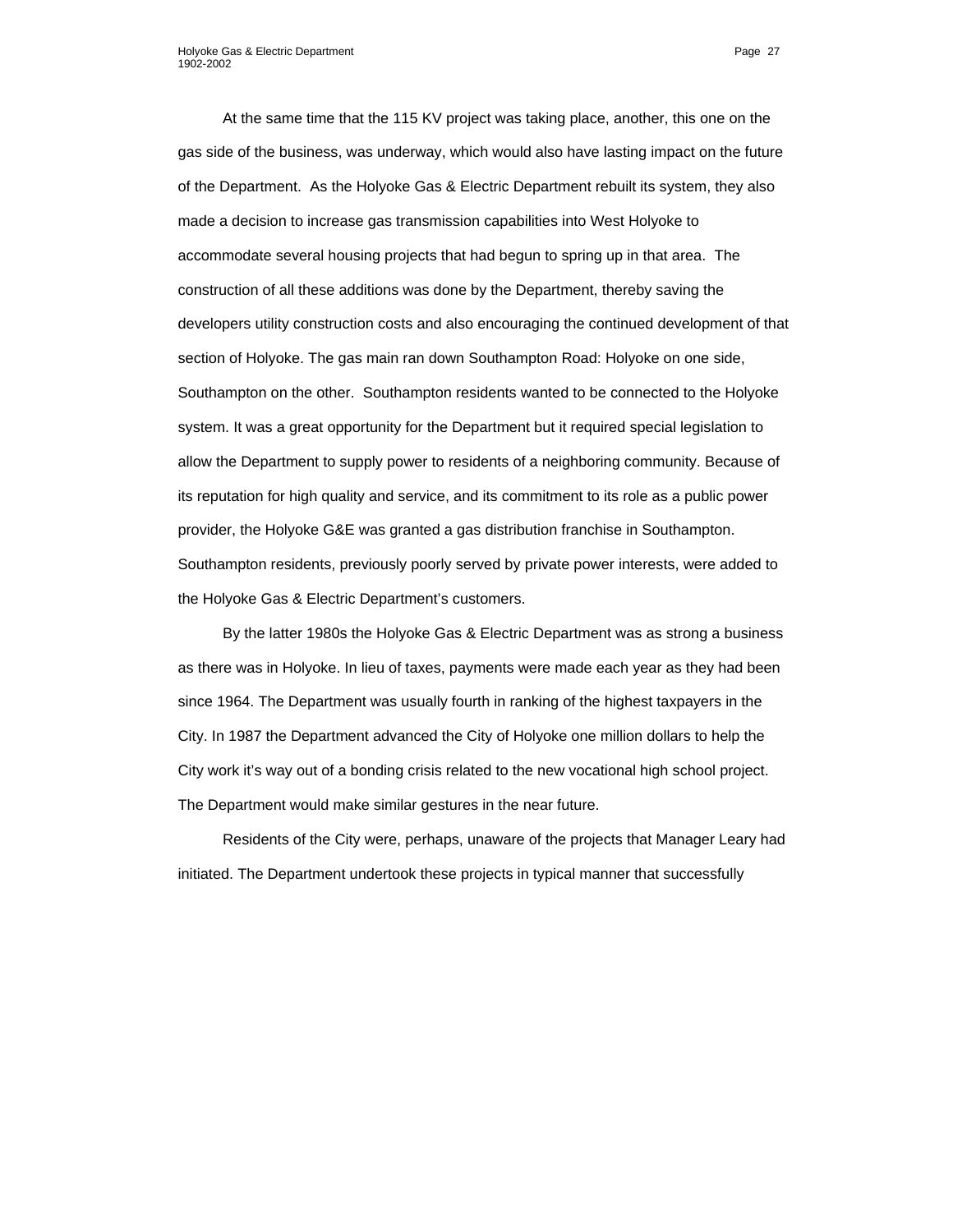At the same time that the 115 KV project was taking place, another, this one on the gas side of the business, was underway, which would also have lasting impact on the future of the Department. As the Holyoke Gas & Electric Department rebuilt its system, they also made a decision to increase gas transmission capabilities into West Holyoke to accommodate several housing projects that had begun to spring up in that area. The construction of all these additions was done by the Department, thereby saving the developers utility construction costs and also encouraging the continued development of that section of Holyoke. The gas main ran down Southampton Road: Holyoke on one side, Southampton on the other. Southampton residents wanted to be connected to the Holyoke system. It was a great opportunity for the Department but it required special legislation to allow the Department to supply power to residents of a neighboring community. Because of its reputation for high quality and service, and its commitment to its role as a public power provider, the Holyoke G&E was granted a gas distribution franchise in Southampton. Southampton residents, previously poorly served by private power interests, were added to the Holyoke Gas & Electric Department's customers.

By the latter 1980s the Holyoke Gas & Electric Department was as strong a business as there was in Holyoke. In lieu of taxes, payments were made each year as they had been since 1964. The Department was usually fourth in ranking of the highest taxpayers in the City. In 1987 the Department advanced the City of Holyoke one million dollars to help the City work it's way out of a bonding crisis related to the new vocational high school project. The Department would make similar gestures in the near future.

Residents of the City were, perhaps, unaware of the projects that Manager Leary had initiated. The Department undertook these projects in typical manner that successfully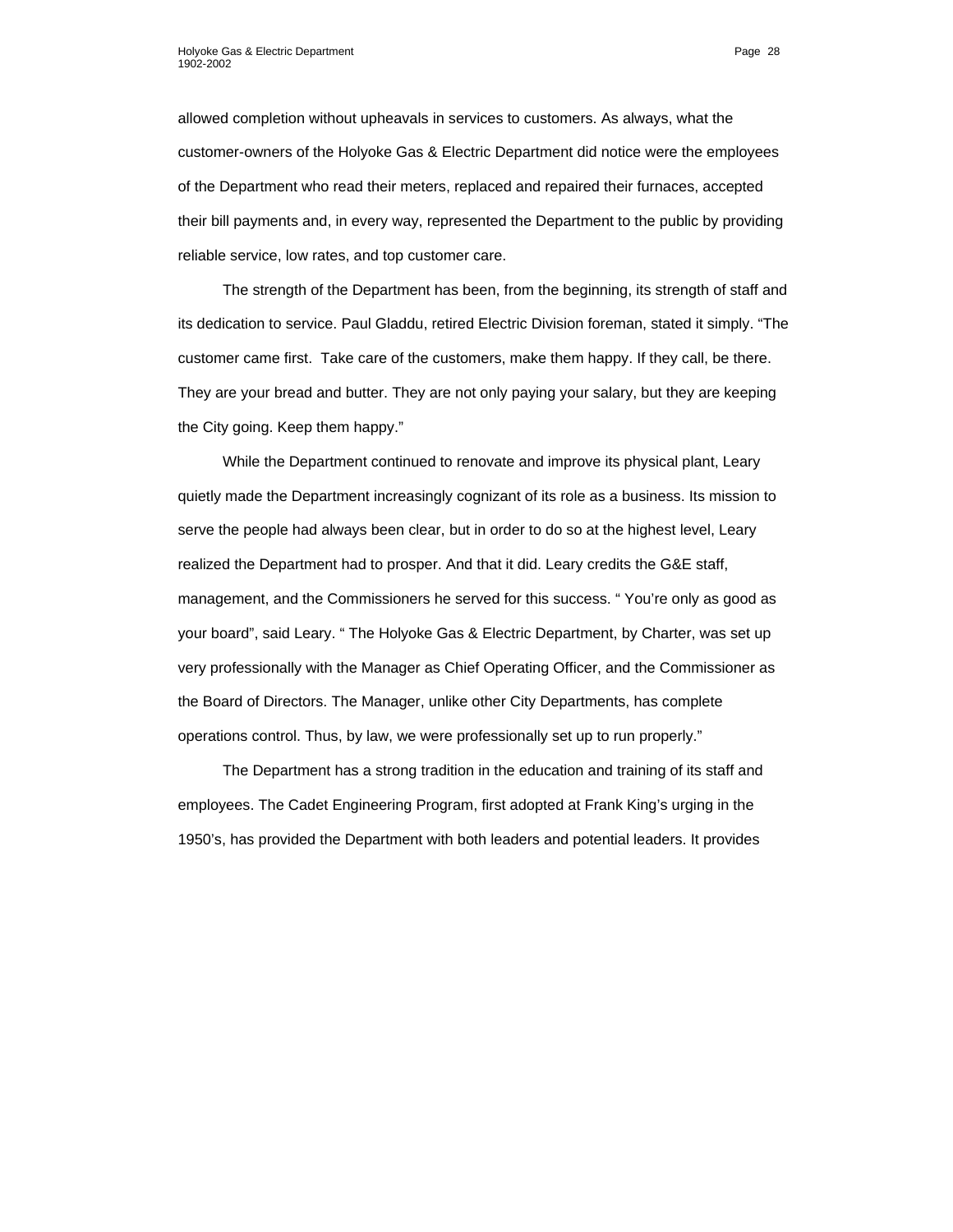allowed completion without upheavals in services to customers. As always, what the customer-owners of the Holyoke Gas & Electric Department did notice were the employees of the Department who read their meters, replaced and repaired their furnaces, accepted their bill payments and, in every way, represented the Department to the public by providing reliable service, low rates, and top customer care.

The strength of the Department has been, from the beginning, its strength of staff and its dedication to service. Paul Gladdu, retired Electric Division foreman, stated it simply. "The customer came first. Take care of the customers, make them happy. If they call, be there. They are your bread and butter. They are not only paying your salary, but they are keeping the City going. Keep them happy."

While the Department continued to renovate and improve its physical plant, Leary quietly made the Department increasingly cognizant of its role as a business. Its mission to serve the people had always been clear, but in order to do so at the highest level, Leary realized the Department had to prosper. And that it did. Leary credits the G&E staff, management, and the Commissioners he served for this success. " You're only as good as your board", said Leary. " The Holyoke Gas & Electric Department, by Charter, was set up very professionally with the Manager as Chief Operating Officer, and the Commissioner as the Board of Directors. The Manager, unlike other City Departments, has complete operations control. Thus, by law, we were professionally set up to run properly."

The Department has a strong tradition in the education and training of its staff and employees. The Cadet Engineering Program, first adopted at Frank King's urging in the 1950's, has provided the Department with both leaders and potential leaders. It provides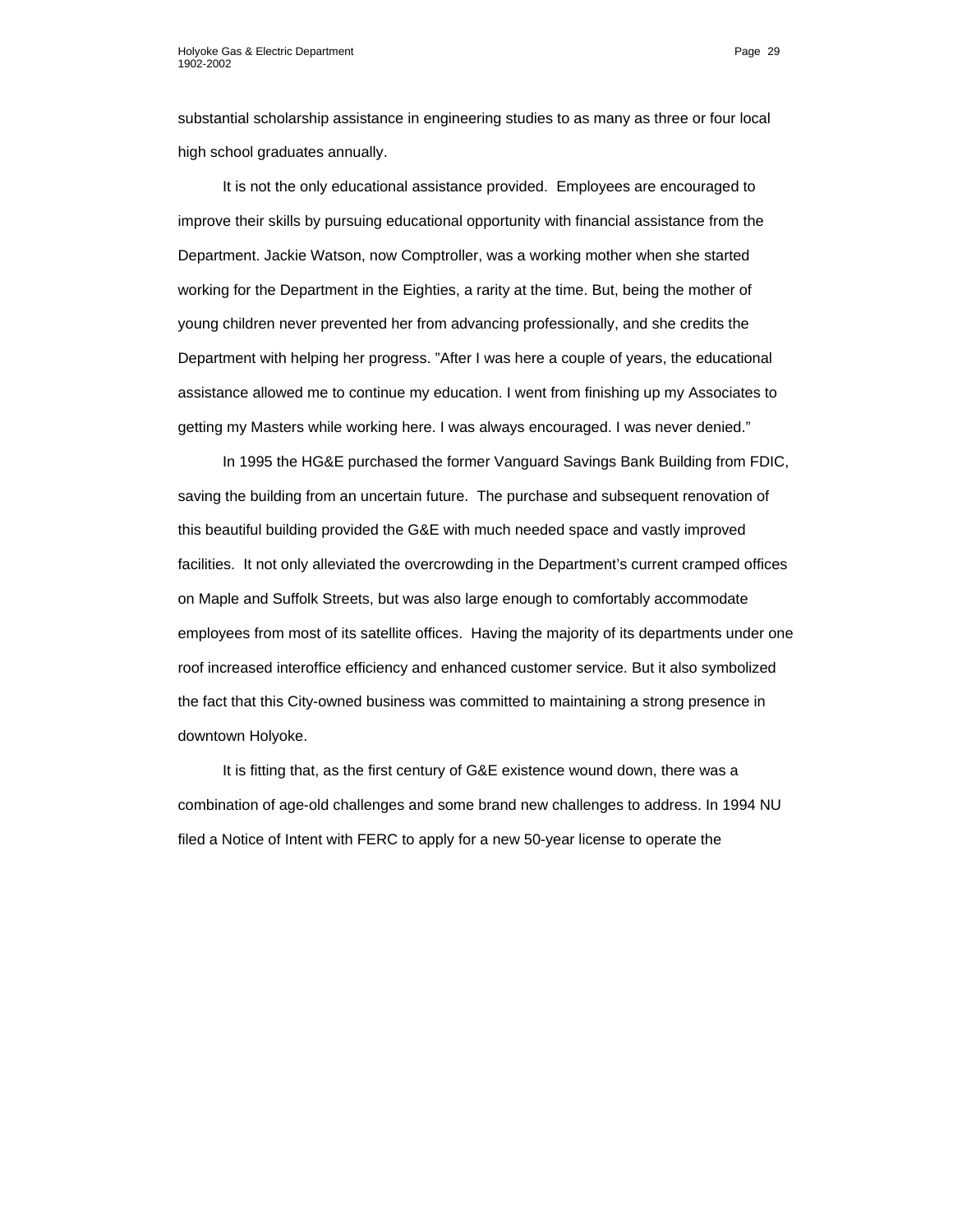substantial scholarship assistance in engineering studies to as many as three or four local high school graduates annually.

It is not the only educational assistance provided. Employees are encouraged to improve their skills by pursuing educational opportunity with financial assistance from the Department. Jackie Watson, now Comptroller, was a working mother when she started working for the Department in the Eighties, a rarity at the time. But, being the mother of young children never prevented her from advancing professionally, and she credits the Department with helping her progress. "After I was here a couple of years, the educational assistance allowed me to continue my education. I went from finishing up my Associates to getting my Masters while working here. I was always encouraged. I was never denied."

In 1995 the HG&E purchased the former Vanguard Savings Bank Building from FDIC, saving the building from an uncertain future. The purchase and subsequent renovation of this beautiful building provided the G&E with much needed space and vastly improved facilities. It not only alleviated the overcrowding in the Department's current cramped offices on Maple and Suffolk Streets, but was also large enough to comfortably accommodate employees from most of its satellite offices. Having the majority of its departments under one roof increased interoffice efficiency and enhanced customer service. But it also symbolized the fact that this City-owned business was committed to maintaining a strong presence in downtown Holyoke.

It is fitting that, as the first century of G&E existence wound down, there was a combination of age-old challenges and some brand new challenges to address. In 1994 NU filed a Notice of Intent with FERC to apply for a new 50-year license to operate the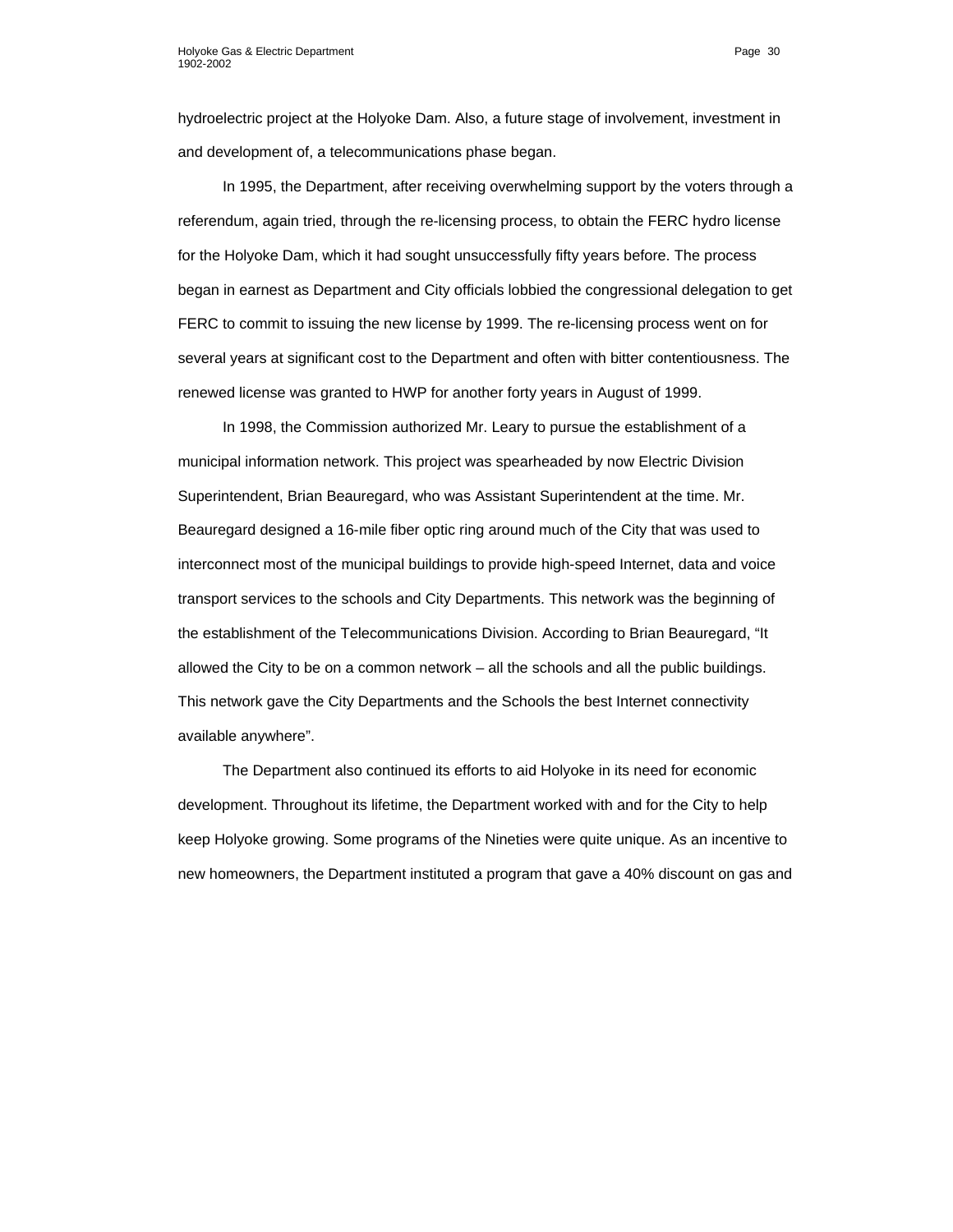hydroelectric project at the Holyoke Dam. Also, a future stage of involvement, investment in and development of, a telecommunications phase began.

In 1995, the Department, after receiving overwhelming support by the voters through a referendum, again tried, through the re-licensing process, to obtain the FERC hydro license for the Holyoke Dam, which it had sought unsuccessfully fifty years before. The process began in earnest as Department and City officials lobbied the congressional delegation to get FERC to commit to issuing the new license by 1999. The re-licensing process went on for several years at significant cost to the Department and often with bitter contentiousness. The renewed license was granted to HWP for another forty years in August of 1999.

In 1998, the Commission authorized Mr. Leary to pursue the establishment of a municipal information network. This project was spearheaded by now Electric Division Superintendent, Brian Beauregard, who was Assistant Superintendent at the time. Mr. Beauregard designed a 16-mile fiber optic ring around much of the City that was used to interconnect most of the municipal buildings to provide high-speed Internet, data and voice transport services to the schools and City Departments. This network was the beginning of the establishment of the Telecommunications Division. According to Brian Beauregard, "It allowed the City to be on a common network – all the schools and all the public buildings. This network gave the City Departments and the Schools the best Internet connectivity available anywhere".

The Department also continued its efforts to aid Holyoke in its need for economic development. Throughout its lifetime, the Department worked with and for the City to help keep Holyoke growing. Some programs of the Nineties were quite unique. As an incentive to new homeowners, the Department instituted a program that gave a 40% discount on gas and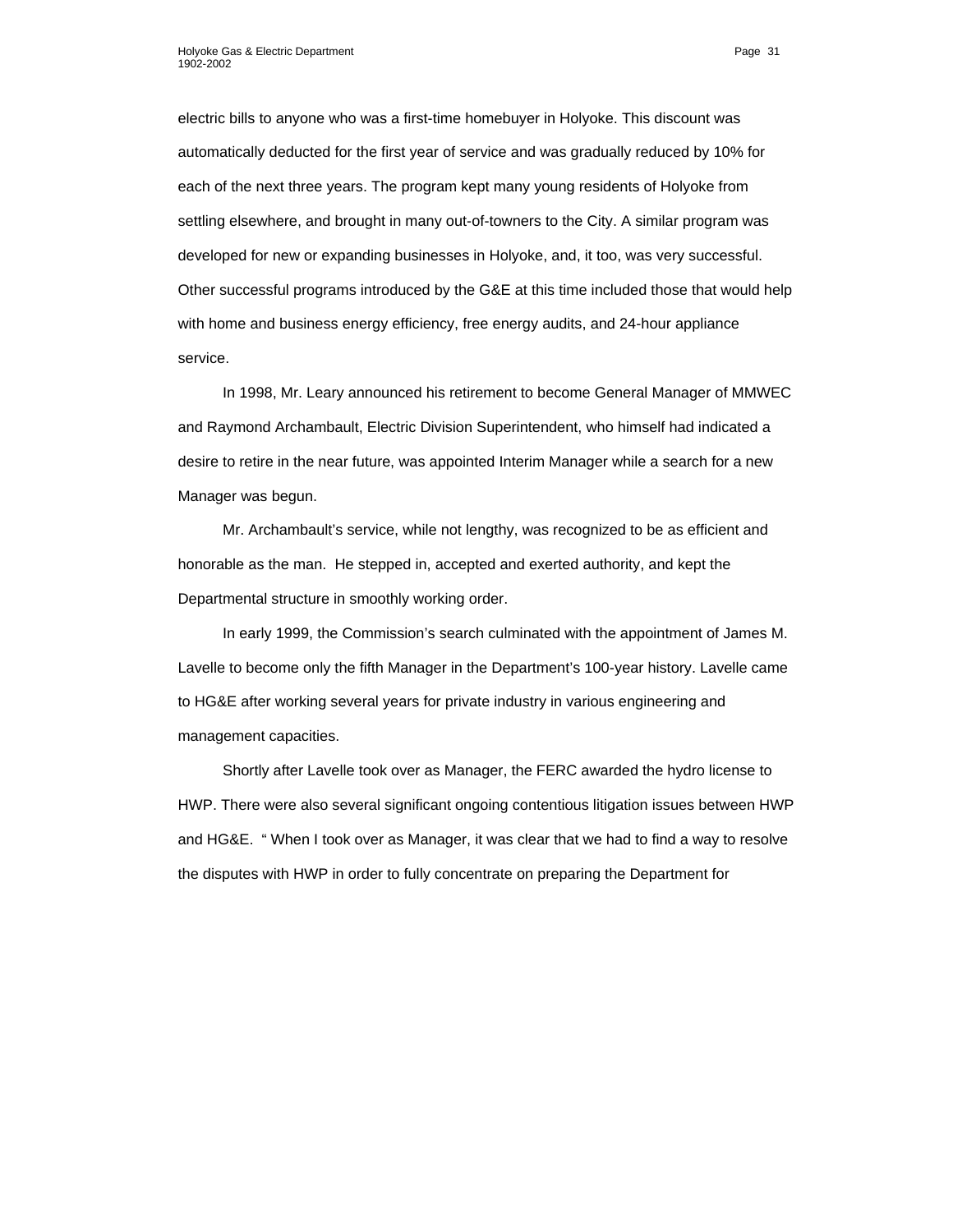electric bills to anyone who was a first-time homebuyer in Holyoke. This discount was automatically deducted for the first year of service and was gradually reduced by 10% for each of the next three years. The program kept many young residents of Holyoke from settling elsewhere, and brought in many out-of-towners to the City. A similar program was developed for new or expanding businesses in Holyoke, and, it too, was very successful. Other successful programs introduced by the G&E at this time included those that would help with home and business energy efficiency, free energy audits, and 24-hour appliance service.

In 1998, Mr. Leary announced his retirement to become General Manager of MMWEC and Raymond Archambault, Electric Division Superintendent, who himself had indicated a desire to retire in the near future, was appointed Interim Manager while a search for a new Manager was begun.

Mr. Archambault's service, while not lengthy, was recognized to be as efficient and honorable as the man. He stepped in, accepted and exerted authority, and kept the Departmental structure in smoothly working order.

In early 1999, the Commission's search culminated with the appointment of James M. Lavelle to become only the fifth Manager in the Department's 100-year history. Lavelle came to HG&E after working several years for private industry in various engineering and management capacities.

Shortly after Lavelle took over as Manager, the FERC awarded the hydro license to HWP. There were also several significant ongoing contentious litigation issues between HWP and HG&E. " When I took over as Manager, it was clear that we had to find a way to resolve the disputes with HWP in order to fully concentrate on preparing the Department for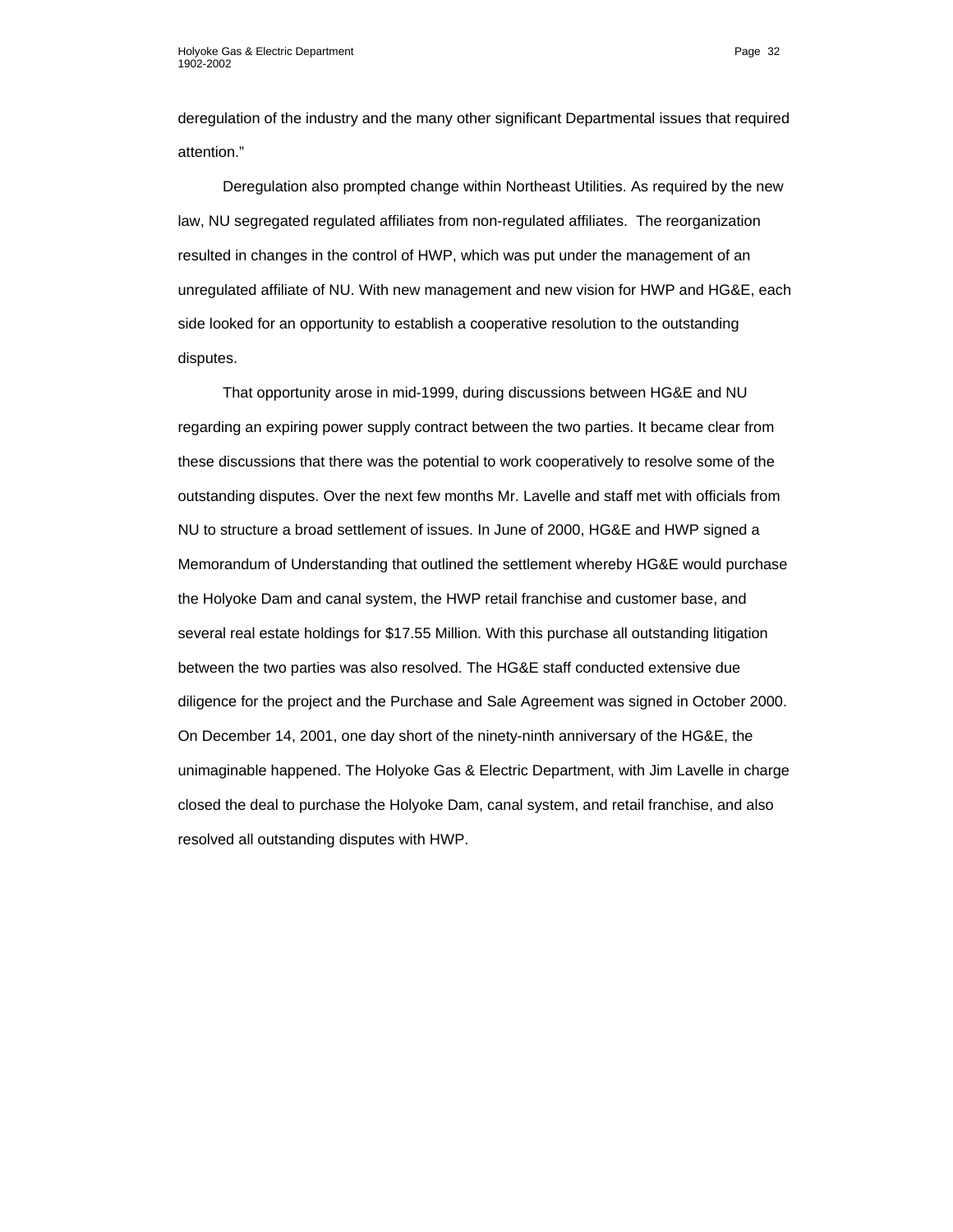deregulation of the industry and the many other significant Departmental issues that required attention."

Deregulation also prompted change within Northeast Utilities. As required by the new law, NU segregated regulated affiliates from non-regulated affiliates. The reorganization resulted in changes in the control of HWP, which was put under the management of an unregulated affiliate of NU. With new management and new vision for HWP and HG&E, each side looked for an opportunity to establish a cooperative resolution to the outstanding disputes.

That opportunity arose in mid-1999, during discussions between HG&E and NU regarding an expiring power supply contract between the two parties. It became clear from these discussions that there was the potential to work cooperatively to resolve some of the outstanding disputes. Over the next few months Mr. Lavelle and staff met with officials from NU to structure a broad settlement of issues. In June of 2000, HG&E and HWP signed a Memorandum of Understanding that outlined the settlement whereby HG&E would purchase the Holyoke Dam and canal system, the HWP retail franchise and customer base, and several real estate holdings for \$17.55 Million. With this purchase all outstanding litigation between the two parties was also resolved. The HG&E staff conducted extensive due diligence for the project and the Purchase and Sale Agreement was signed in October 2000. On December 14, 2001, one day short of the ninety-ninth anniversary of the HG&E, the unimaginable happened. The Holyoke Gas & Electric Department, with Jim Lavelle in charge closed the deal to purchase the Holyoke Dam, canal system, and retail franchise, and also resolved all outstanding disputes with HWP.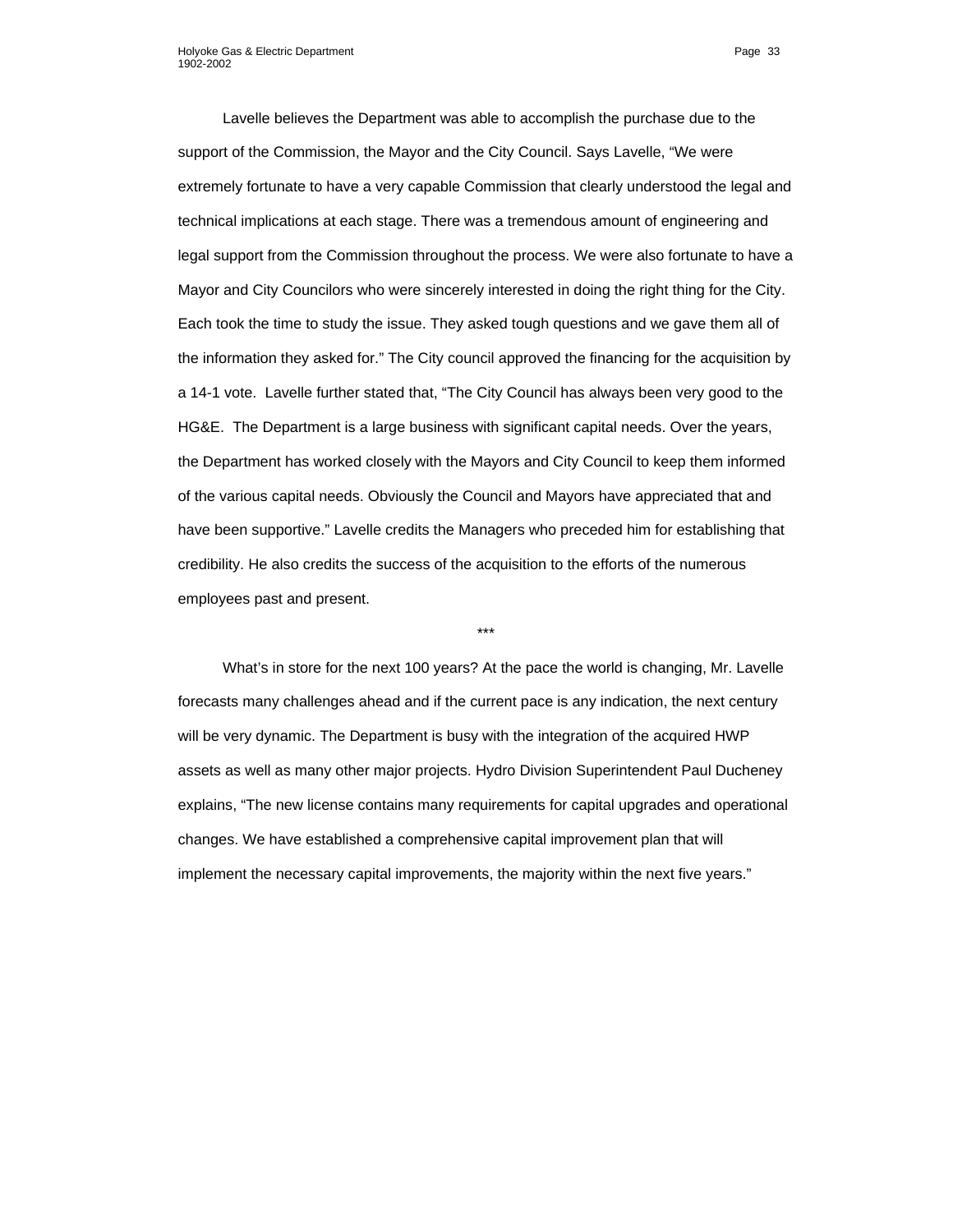Lavelle believes the Department was able to accomplish the purchase due to the support of the Commission, the Mayor and the City Council. Says Lavelle, "We were extremely fortunate to have a very capable Commission that clearly understood the legal and technical implications at each stage. There was a tremendous amount of engineering and legal support from the Commission throughout the process. We were also fortunate to have a Mayor and City Councilors who were sincerely interested in doing the right thing for the City. Each took the time to study the issue. They asked tough questions and we gave them all of the information they asked for." The City council approved the financing for the acquisition by a 14-1 vote. Lavelle further stated that, "The City Council has always been very good to the HG&E. The Department is a large business with significant capital needs. Over the years, the Department has worked closely with the Mayors and City Council to keep them informed of the various capital needs. Obviously the Council and Mayors have appreciated that and have been supportive." Lavelle credits the Managers who preceded him for establishing that credibility. He also credits the success of the acquisition to the efforts of the numerous employees past and present.

\*\*\*

What's in store for the next 100 years? At the pace the world is changing, Mr. Lavelle forecasts many challenges ahead and if the current pace is any indication, the next century will be very dynamic. The Department is busy with the integration of the acquired HWP assets as well as many other major projects. Hydro Division Superintendent Paul Ducheney explains, "The new license contains many requirements for capital upgrades and operational changes. We have established a comprehensive capital improvement plan that will implement the necessary capital improvements, the majority within the next five years."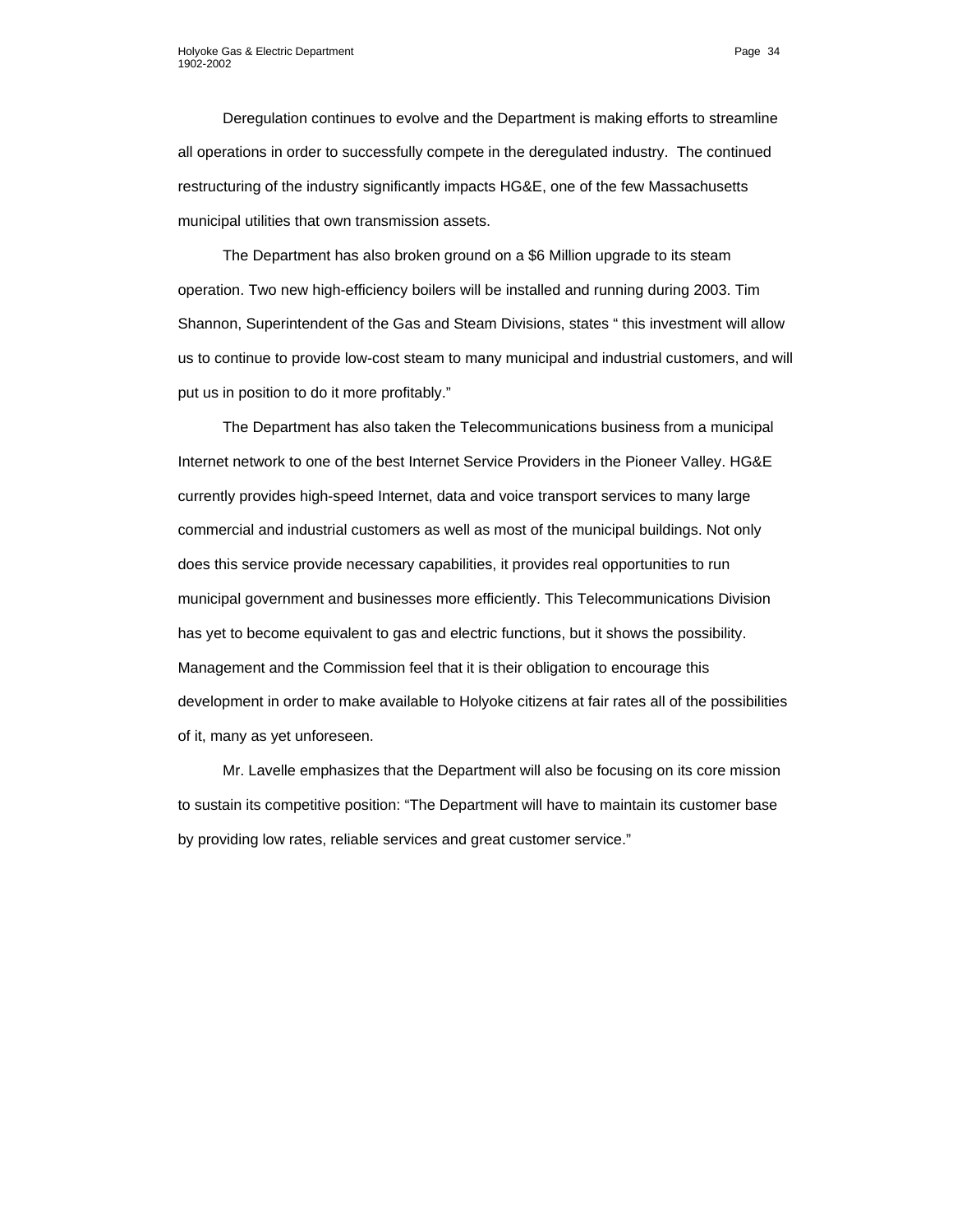Deregulation continues to evolve and the Department is making efforts to streamline all operations in order to successfully compete in the deregulated industry. The continued restructuring of the industry significantly impacts HG&E, one of the few Massachusetts municipal utilities that own transmission assets.

The Department has also broken ground on a \$6 Million upgrade to its steam operation. Two new high-efficiency boilers will be installed and running during 2003. Tim Shannon, Superintendent of the Gas and Steam Divisions, states " this investment will allow us to continue to provide low-cost steam to many municipal and industrial customers, and will put us in position to do it more profitably."

The Department has also taken the Telecommunications business from a municipal Internet network to one of the best Internet Service Providers in the Pioneer Valley. HG&E currently provides high-speed Internet, data and voice transport services to many large commercial and industrial customers as well as most of the municipal buildings. Not only does this service provide necessary capabilities, it provides real opportunities to run municipal government and businesses more efficiently. This Telecommunications Division has yet to become equivalent to gas and electric functions, but it shows the possibility. Management and the Commission feel that it is their obligation to encourage this development in order to make available to Holyoke citizens at fair rates all of the possibilities of it, many as yet unforeseen.

Mr. Lavelle emphasizes that the Department will also be focusing on its core mission to sustain its competitive position: "The Department will have to maintain its customer base by providing low rates, reliable services and great customer service."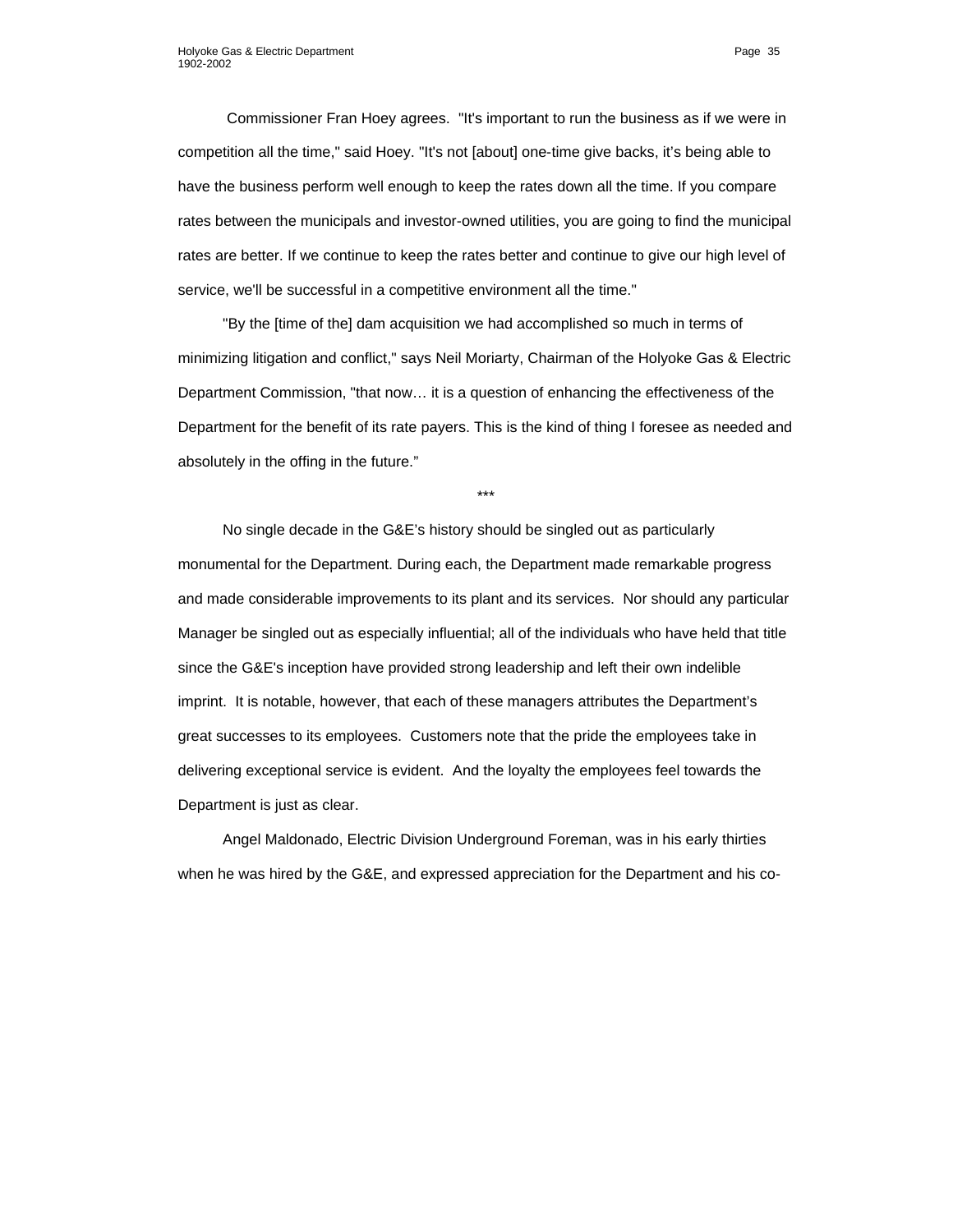Commissioner Fran Hoey agrees. "It's important to run the business as if we were in competition all the time," said Hoey. "It's not [about] one-time give backs, it's being able to have the business perform well enough to keep the rates down all the time. If you compare rates between the municipals and investor-owned utilities, you are going to find the municipal rates are better. If we continue to keep the rates better and continue to give our high level of service, we'll be successful in a competitive environment all the time."

"By the [time of the] dam acquisition we had accomplished so much in terms of minimizing litigation and conflict," says Neil Moriarty, Chairman of the Holyoke Gas & Electric Department Commission, "that now… it is a question of enhancing the effectiveness of the Department for the benefit of its rate payers. This is the kind of thing I foresee as needed and absolutely in the offing in the future."

\*\*\*

No single decade in the G&E's history should be singled out as particularly monumental for the Department. During each, the Department made remarkable progress and made considerable improvements to its plant and its services. Nor should any particular Manager be singled out as especially influential; all of the individuals who have held that title since the G&E's inception have provided strong leadership and left their own indelible imprint. It is notable, however, that each of these managers attributes the Department's great successes to its employees. Customers note that the pride the employees take in delivering exceptional service is evident. And the loyalty the employees feel towards the Department is just as clear.

Angel Maldonado, Electric Division Underground Foreman, was in his early thirties when he was hired by the G&E, and expressed appreciation for the Department and his co-